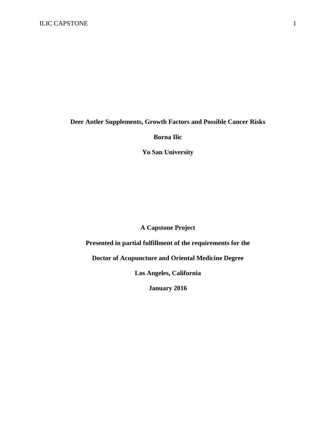## **Deer Antler Supplements, Growth Factors and Possible Cancer Risks**

## **Borna Ilic**

**Yo San University** 

## **A Capstone Project**

# **Presented in partial fulfillment of the requirements for the**

**Doctor of Acupuncture and Oriental Medicine Degree** 

**Los Angeles, California** 

**January 2016**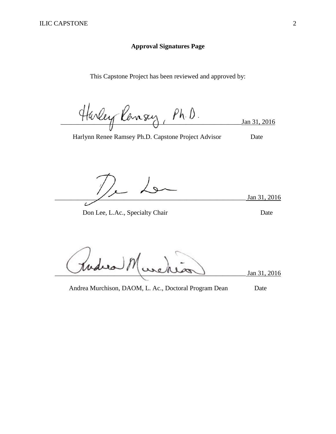## **Approval Signatures Page**

This Capstone Project has been reviewed and approved by:

Harley Ransey, Ph.D. Jan 31, 2016

Harlynn Renee Ramsey Ph.D. Capstone Project Advisor Date

Jan 31, 2016

Don Lee, L.Ac., Specialty Chair Date

\_\_\_\_\_\_\_\_\_\_\_\_\_\_\_\_\_\_\_\_\_\_\_\_\_\_\_\_\_\_\_\_\_\_\_\_\_\_\_\_\_\_\_\_\_\_\_\_\_\_\_\_\_\_\_\_\_\_ Jan 31, 2016

Andrea Murchison, DAOM, L. Ac., Doctoral Program Dean Date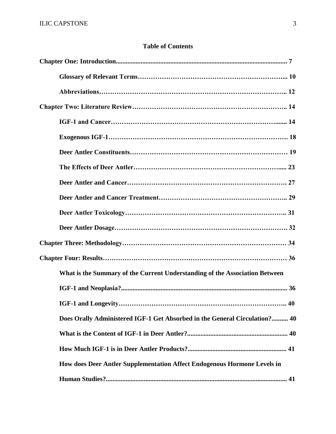# **Table of Contents**

| What is the Summary of the Current Understanding of the Association Between |  |
|-----------------------------------------------------------------------------|--|
|                                                                             |  |
| $\ldots$ 40                                                                 |  |
| Does Orally Administered IGF-1 Get Absorbed in the General Circulation? 40  |  |
|                                                                             |  |
|                                                                             |  |
| How does Deer Antler Supplementation Affect Endogenous Hormone Levels in    |  |
|                                                                             |  |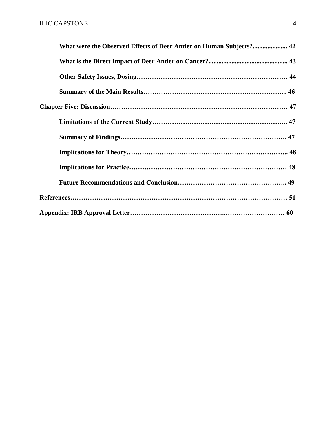| What were the Observed Effects of Deer Antler on Human Subjects? 42 |  |
|---------------------------------------------------------------------|--|
|                                                                     |  |
|                                                                     |  |
|                                                                     |  |
|                                                                     |  |
|                                                                     |  |
|                                                                     |  |
|                                                                     |  |
|                                                                     |  |
|                                                                     |  |
|                                                                     |  |
|                                                                     |  |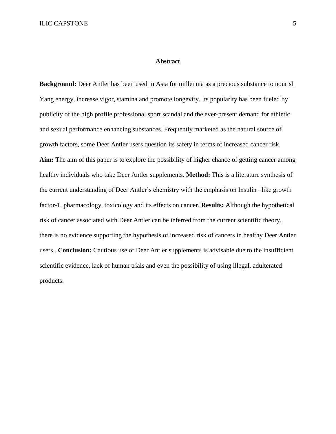#### **Abstract**

**Background:** Deer Antler has been used in Asia for millennia as a precious substance to nourish Yang energy, increase vigor, stamina and promote longevity. Its popularity has been fueled by publicity of the high profile professional sport scandal and the ever-present demand for athletic and sexual performance enhancing substances. Frequently marketed as the natural source of growth factors, some Deer Antler users question its safety in terms of increased cancer risk. **Aim:** The aim of this paper is to explore the possibility of higher chance of getting cancer among healthy individuals who take Deer Antler supplements. **Method:** This is a literature synthesis of the current understanding of Deer Antler's chemistry with the emphasis on Insulin –like growth factor-1, pharmacology, toxicology and its effects on cancer. **Results:** Although the hypothetical risk of cancer associated with Deer Antler can be inferred from the current scientific theory, there is no evidence supporting the hypothesis of increased risk of cancers in healthy Deer Antler users.. **Conclusion:** Cautious use of Deer Antler supplements is advisable due to the insufficient scientific evidence, lack of human trials and even the possibility of using illegal, adulterated products.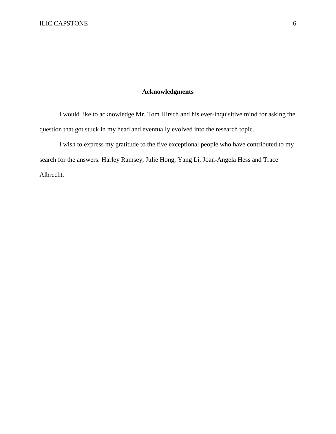## **Acknowledgments**

I would like to acknowledge Mr. Tom Hirsch and his ever-inquisitive mind for asking the question that got stuck in my head and eventually evolved into the research topic.

I wish to express my gratitude to the five exceptional people who have contributed to my search for the answers: Harley Ramsey, Julie Hong, Yang Li, Joan-Angela Hess and Trace Albrecht.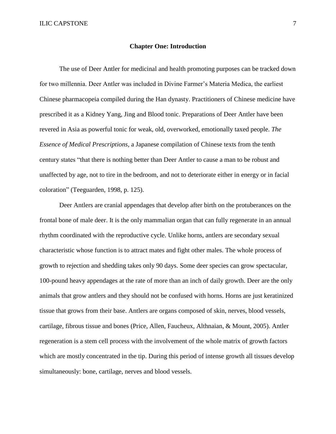#### **Chapter One: Introduction**

The use of Deer Antler for medicinal and health promoting purposes can be tracked down for two millennia. Deer Antler was included in Divine Farmer's Materia Medica, the earliest Chinese pharmacopeia compiled during the Han dynasty. Practitioners of Chinese medicine have prescribed it as a Kidney Yang, Jing and Blood tonic. Preparations of Deer Antler have been revered in Asia as powerful tonic for weak, old, overworked, emotionally taxed people. *The Essence of Medical Prescriptions,* a Japanese compilation of Chinese texts from the tenth century states "that there is nothing better than Deer Antler to cause a man to be robust and unaffected by age, not to tire in the bedroom, and not to deteriorate either in energy or in facial coloration" (Teeguarden, 1998, p. 125).

Deer Antlers are cranial appendages that develop after birth on the protuberances on the frontal bone of male deer. It is the only mammalian organ that can fully regenerate in an annual rhythm coordinated with the reproductive cycle. Unlike horns, antlers are secondary sexual characteristic whose function is to attract mates and fight other males. The whole process of growth to rejection and shedding takes only 90 days. Some deer species can grow spectacular, 100-pound heavy appendages at the rate of more than an inch of daily growth. Deer are the only animals that grow antlers and they should not be confused with horns. Horns are just keratinized tissue that grows from their base. Antlers are organs composed of skin, nerves, blood vessels, cartilage, fibrous tissue and bones (Price, Allen, Faucheux, Althnaian, & Mount, 2005). Antler regeneration is a stem cell process with the involvement of the whole matrix of growth factors which are mostly concentrated in the tip. During this period of intense growth all tissues develop simultaneously: bone, cartilage, nerves and blood vessels.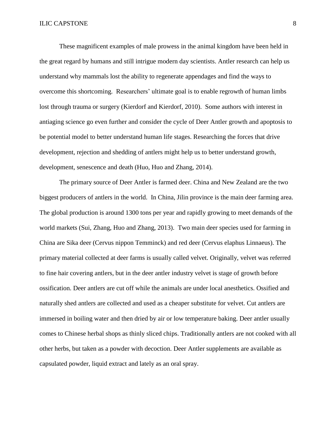These magnificent examples of male prowess in the animal kingdom have been held in the great regard by humans and still intrigue modern day scientists. Antler research can help us understand why mammals lost the ability to regenerate appendages and find the ways to overcome this shortcoming. Researchers' ultimate goal is to enable regrowth of human limbs lost through trauma or surgery (Kierdorf and Kierdorf, 2010). Some authors with interest in antiaging science go even further and consider the cycle of Deer Antler growth and apoptosis to be potential model to better understand human life stages. Researching the forces that drive development, rejection and shedding of antlers might help us to better understand growth, development, senescence and death (Huo, Huo and Zhang, 2014).

The primary source of Deer Antler is farmed deer. China and New Zealand are the two biggest producers of antlers in the world. In China, Jilin province is the main deer farming area. The global production is around 1300 tons per year and rapidly growing to meet demands of the world markets (Sui, Zhang, Huo and Zhang, 2013). Two main deer species used for farming in China are Sika deer (Cervus nippon Temminck) and red deer (Cervus elaphus Linnaeus). The primary material collected at deer farms is usually called velvet. Originally, velvet was referred to fine hair covering antlers, but in the deer antler industry velvet is stage of growth before ossification. Deer antlers are cut off while the animals are under local anesthetics. Ossified and naturally shed antlers are collected and used as a cheaper substitute for velvet. Cut antlers are immersed in boiling water and then dried by air or low temperature baking. Deer antler usually comes to Chinese herbal shops as thinly sliced chips. Traditionally antlers are not cooked with all other herbs, but taken as a powder with decoction. Deer Antler supplements are available as capsulated powder, liquid extract and lately as an oral spray.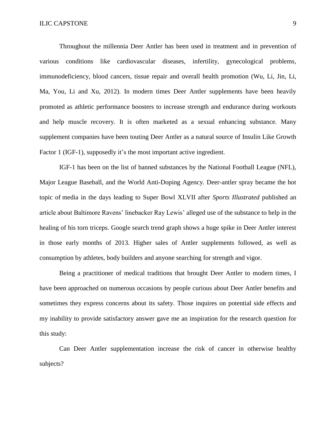Throughout the millennia Deer Antler has been used in treatment and in prevention of various conditions like cardiovascular diseases, infertility, gynecological problems, immunodeficiency, blood cancers, tissue repair and overall health promotion (Wu, Li, Jin, Li, Ma, You, Li and Xu, 2012). In modern times Deer Antler supplements have been heavily promoted as athletic performance boosters to increase strength and endurance during workouts and help muscle recovery. It is often marketed as a sexual enhancing substance. Many supplement companies have been touting Deer Antler as a natural source of Insulin Like Growth Factor 1 (IGF-1), supposedly it's the most important active ingredient.

IGF-1 has been on the list of banned substances by the National Football League (NFL), Major League Baseball, and the World Anti-Doping Agency. Deer-antler spray became the hot topic of media in the days leading to Super Bowl XLVII after *Sports Illustrated* published an article about Baltimore Ravens' linebacker Ray Lewis' alleged use of the substance to help in the healing of his torn triceps. Google search trend graph shows a huge spike in Deer Antler interest in those early months of 2013. Higher sales of Antler supplements followed, as well as consumption by athletes, body builders and anyone searching for strength and vigor.

Being a practitioner of medical traditions that brought Deer Antler to modern times, I have been approached on numerous occasions by people curious about Deer Antler benefits and sometimes they express concerns about its safety. Those inquires on potential side effects and my inability to provide satisfactory answer gave me an inspiration for the research question for this study:

Can Deer Antler supplementation increase the risk of cancer in otherwise healthy subjects?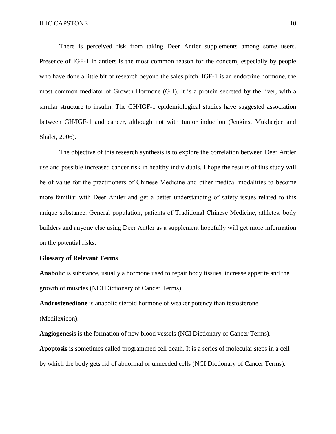There is perceived risk from taking Deer Antler supplements among some users. Presence of IGF-1 in antlers is the most common reason for the concern, especially by people who have done a little bit of research beyond the sales pitch. IGF-1 is an endocrine hormone, the most common mediator of Growth Hormone (GH). It is a protein secreted by the liver, with a similar structure to insulin. The GH/IGF-1 epidemiological studies have suggested association between GH/IGF-1 and cancer, although not with tumor induction (Jenkins, Mukherjee and Shalet, 2006).

The objective of this research synthesis is to explore the correlation between Deer Antler use and possible increased cancer risk in healthy individuals. I hope the results of this study will be of value for the practitioners of Chinese Medicine and other medical modalities to become more familiar with Deer Antler and get a better understanding of safety issues related to this unique substance. General population, patients of Traditional Chinese Medicine, athletes, body builders and anyone else using Deer Antler as a supplement hopefully will get more information on the potential risks.

#### **Glossary of Relevant Terms**

**Anabolic** is substance, usually a hormone used to repair body tissues, increase appetite and the growth of muscles (NCI Dictionary of Cancer Terms).

**Androstenedione** is anabolic steroid hormone of weaker potency than testosterone (Medilexicon).

**Angiogenesis** is the formation of new blood vessels (NCI Dictionary of Cancer Terms). **Apoptosis** is sometimes called programmed cell death. It is a series of molecular steps in a cell by which the body gets rid of abnormal or unneeded cells (NCI Dictionary of Cancer Terms).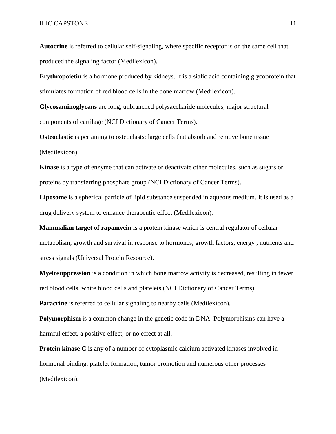**Autocrine** is referred to cellular self-signaling, where specific receptor is on the same cell that produced the signaling factor (Medilexicon).

**Erythropoietin** is a hormone produced by kidneys. It is a sialic acid containing glycoprotein that stimulates formation of red blood cells in the bone marrow (Medilexicon).

**Glycosaminoglycans** are long, unbranched polysaccharide molecules, major structural components of cartilage (NCI Dictionary of Cancer Terms).

**Osteoclastic** is pertaining to osteoclasts; large cells that absorb and remove bone tissue (Medilexicon).

**Kinase** is a type of enzyme that can activate or deactivate other molecules, such as sugars or proteins by transferring phosphate group (NCI Dictionary of Cancer Terms).

**Liposome** is a spherical particle of lipid substance suspended in aqueous medium. It is used as a drug delivery system to enhance therapeutic effect (Medilexicon).

**Mammalian target of rapamycin** is a protein kinase which is central regulator of cellular metabolism, growth and survival in response to hormones, growth factors, energy , nutrients and stress signals (Universal Protein Resource).

**Myelosuppression** is a condition in which bone marrow activity is decreased, resulting in fewer red blood cells, white blood cells and platelets (NCI Dictionary of Cancer Terms).

**Paracrine** is referred to cellular signaling to nearby cells (Medilexicon).

**Polymorphism** is a common change in the genetic code in DNA. Polymorphisms can have a harmful effect, a positive effect, or no effect at all.

**Protein kinase C** is any of a number of cytoplasmic calcium activated kinases involved in hormonal binding, platelet formation, tumor promotion and numerous other processes (Medilexicon).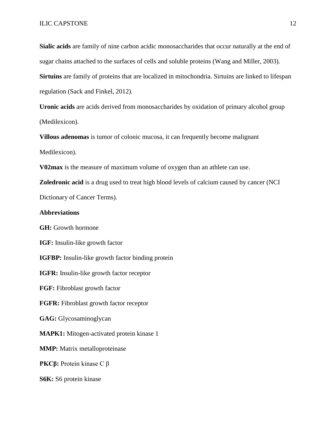**Sialic acids** are family of nine carbon acidic monosaccharides that occur naturally at the end of sugar chains attached to the surfaces of cells and soluble proteins (Wang and Miller, 2003).

**Sirtuins** are family of proteins that are localized in mitochondria. Sirtuins are linked to lifespan regulation (Sack and Finkel, 2012).

**Uronic acids** are acids derived from monosaccharides by oxidation of primary alcohol group (Medilexicon).

**Villous adenomas** is tumor of colonic mucosa, it can frequently become malignant Medilexicon).

**V02max** is the measure of maximum volume of oxygen than an athlete can use.

**Zoledronic acid** is a drug used to treat high blood levels of calcium caused by cancer (NCI

Dictionary of Cancer Terms).

#### **Abbreviations**

**GH:** Growth hormone

**IGF:** Insulin-like growth factor

**IGFBP:** Insulin-like growth factor binding protein

**IGFR:** Insulin-like growth factor receptor

**FGF:** Fibroblast growth factor

**FGFR:** Fibroblast growth factor receptor

**GAG:** Glycosaminoglycan

**MAPK1:** Mitogen-activated protein kinase 1

**MMP:** Matrix metalloproteinase

**PKCβ:** Protein kinase C β

**S6K:** S6 protein kinase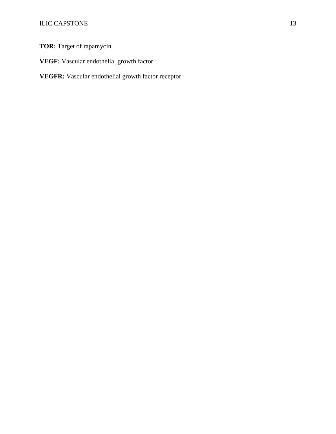**TOR:** Target of rapamycin

**VEGF:** Vascular endothelial growth factor

**VEGFR:** Vascular endothelial growth factor receptor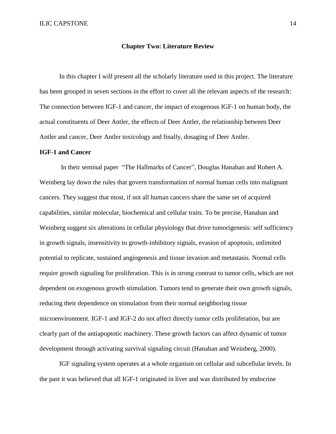#### **Chapter Two: Literature Review**

In this chapter I will present all the scholarly literature used in this project. The literature has been grouped in seven sections in the effort to cover all the relevant aspects of the research: The connection between IGF-1 and cancer, the impact of exogenous IGF-1 on human body, the actual constituents of Deer Antler, the effects of Deer Antler, the relationship between Deer Antler and cancer, Deer Antler toxicology and finally, dosaging of Deer Antler.

#### **IGF-1 and Cancer**

In their seminal paper "The Hallmarks of Cancer", Douglas Hanahan and Robert A. Weinberg lay down the rules that govern transformation of normal human cells into malignant cancers. They suggest that most, if not all human cancers share the same set of acquired capabilities, similar molecular, biochemical and cellular traits. To be precise, Hanahan and Weinberg suggest six alterations in cellular physiology that drive tumorigenesis: self sufficiency in growth signals, insensitivity to growth-inhibitory signals, evasion of apoptosis, unlimited potential to replicate, sustained angiogenesis and tissue invasion and metastasis. Normal cells require growth signaling for proliferation. This is in strong contrast to tumor cells, which are not dependent on exogenous growth stimulation. Tumors tend to generate their own growth signals, reducing their dependence on stimulation from their normal neighboring tissue microenvironment. IGF-1 and IGF-2 do not affect directly tumor cells proliferation, but are clearly part of the antiapoptotic machinery. These growth factors can affect dynamic of tumor development through activating survival signaling circuit (Hanahan and Weinberg, 2000).

IGF signaling system operates at a whole organism on cellular and subcellular levels. In the past it was believed that all IGF-1 originated in liver and was distributed by endocrine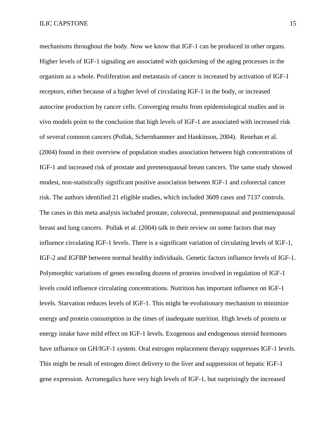mechanisms throughout the body. Now we know that IGF-1 can be produced in other organs. Higher levels of IGF-1 signaling are associated with quickening of the aging processes in the organism as a whole. Proliferation and metastasis of cancer is increased by activation of IGF-1 receptors, either because of a higher level of circulating IGF-1 in the body, or increased autocrine production by cancer cells. Converging results from epidemiological studies and in vivo models point to the conclusion that high levels of IGF-1 are associated with increased risk of several common cancers (Pollak, Schernhammer and Hankinson, 2004). Renehan et al. (2004) found in their overview of population studies association between high concentrations of IGF-1 and increased risk of prostate and premenopausal breast cancers. The same study showed modest, non-statistically significant positive association between IGF-1 and colorectal cancer risk. The authors identified 21 eligible studies, which included 3609 cases and 7137 controls. The cases in this meta analysis included prostate, colorectal, premenopausal and postmenopausal breast and lung cancers. Pollak et al. (2004) talk in their review on some factors that may influence circulating IGF-1 levels. There is a significant variation of circulating levels of IGF-1, IGF-2 and IGFBP between normal healthy individuals. Genetic factors influence levels of IGF-1. Polymorphic variations of genes encoding dozens of proteins involved in regulation of IGF-1 levels could influence circulating concentrations. Nutrition has important influence on IGF-1 levels. Starvation reduces levels of IGF-1. This might be evolutionary mechanism to minimize energy and protein consumption in the times of inadequate nutrition. High levels of protein or energy intake have mild effect on IGF-1 levels. Exogenous and endogenous steroid hormones have influence on GH/IGF-1 system. Oral estrogen replacement therapy suppresses IGF-1 levels. This might be result of estrogen direct delivery to the liver and suppression of hepatic IGF-1 gene expression. Acromegalics have very high levels of IGF-1, but surprisingly the increased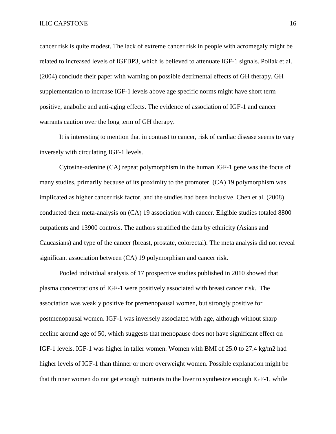cancer risk is quite modest. The lack of extreme cancer risk in people with acromegaly might be related to increased levels of IGFBP3, which is believed to attenuate IGF-1 signals. Pollak et al. (2004) conclude their paper with warning on possible detrimental effects of GH therapy. GH supplementation to increase IGF-1 levels above age specific norms might have short term positive, anabolic and anti-aging effects. The evidence of association of IGF-1 and cancer warrants caution over the long term of GH therapy.

It is interesting to mention that in contrast to cancer, risk of cardiac disease seems to vary inversely with circulating IGF-1 levels.

Cytosine-adenine (CA) repeat polymorphism in the human IGF-1 gene was the focus of many studies, primarily because of its proximity to the promoter. (CA) 19 polymorphism was implicated as higher cancer risk factor, and the studies had been inclusive. Chen et al. (2008) conducted their meta-analysis on (CA) 19 association with cancer. Eligible studies totaled 8800 outpatients and 13900 controls. The authors stratified the data by ethnicity (Asians and Caucasians) and type of the cancer (breast, prostate, colorectal). The meta analysis did not reveal significant association between (CA) 19 polymorphism and cancer risk.

Pooled individual analysis of 17 prospective studies published in 2010 showed that plasma concentrations of IGF-1 were positively associated with breast cancer risk. The association was weakly positive for premenopausal women, but strongly positive for postmenopausal women. IGF-1 was inversely associated with age, although without sharp decline around age of 50, which suggests that menopause does not have significant effect on IGF-1 levels. IGF-1 was higher in taller women. Women with BMI of 25.0 to 27.4 kg/m2 had higher levels of IGF-1 than thinner or more overweight women. Possible explanation might be that thinner women do not get enough nutrients to the liver to synthesize enough IGF-1, while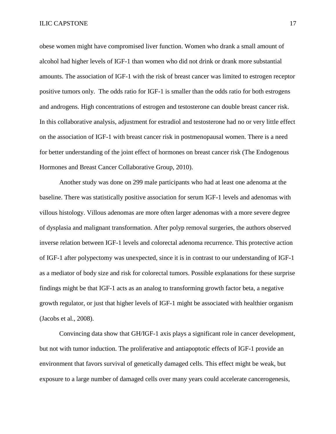obese women might have compromised liver function. Women who drank a small amount of alcohol had higher levels of IGF-1 than women who did not drink or drank more substantial amounts. The association of IGF-1 with the risk of breast cancer was limited to estrogen receptor positive tumors only. The odds ratio for IGF-1 is smaller than the odds ratio for both estrogens and androgens. High concentrations of estrogen and testosterone can double breast cancer risk. In this collaborative analysis, adjustment for estradiol and testosterone had no or very little effect on the association of IGF-1 with breast cancer risk in postmenopausal women. There is a need for better understanding of the joint effect of hormones on breast cancer risk (The Endogenous Hormones and Breast Cancer Collaborative Group, 2010).

Another study was done on 299 male participants who had at least one adenoma at the baseline. There was statistically positive association for serum IGF-1 levels and adenomas with villous histology. Villous adenomas are more often larger adenomas with a more severe degree of dysplasia and malignant transformation. After polyp removal surgeries, the authors observed inverse relation between IGF-1 levels and colorectal adenoma recurrence. This protective action of IGF-1 after polypectomy was unexpected, since it is in contrast to our understanding of IGF-1 as a mediator of body size and risk for colorectal tumors. Possible explanations for these surprise findings might be that IGF-1 acts as an analog to transforming growth factor beta, a negative growth regulator, or just that higher levels of IGF-1 might be associated with healthier organism (Jacobs et al., 2008).

Convincing data show that GH/IGF-1 axis plays a significant role in cancer development, but not with tumor induction. The proliferative and antiapoptotic effects of IGF-1 provide an environment that favors survival of genetically damaged cells. This effect might be weak, but exposure to a large number of damaged cells over many years could accelerate cancerogenesis,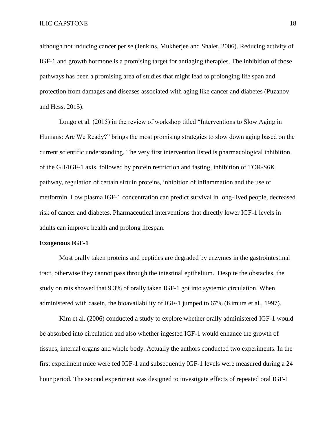although not inducing cancer per se (Jenkins, Mukherjee and Shalet, 2006). Reducing activity of IGF-1 and growth hormone is a promising target for antiaging therapies. The inhibition of those pathways has been a promising area of studies that might lead to prolonging life span and protection from damages and diseases associated with aging like cancer and diabetes (Puzanov and Hess, 2015).

Longo et al. (2015) in the review of workshop titled "Interventions to Slow Aging in Humans: Are We Ready?" brings the most promising strategies to slow down aging based on the current scientific understanding. The very first intervention listed is pharmacological inhibition of the GH/IGF-1 axis, followed by protein restriction and fasting, inhibition of TOR-S6K pathway, regulation of certain sirtuin proteins, inhibition of inflammation and the use of metformin. Low plasma IGF-1 concentration can predict survival in long-lived people, decreased risk of cancer and diabetes. Pharmaceutical interventions that directly lower IGF-1 levels in adults can improve health and prolong lifespan.

#### **Exogenous IGF-1**

Most orally taken proteins and peptides are degraded by enzymes in the gastrointestinal tract, otherwise they cannot pass through the intestinal epithelium. Despite the obstacles, the study on rats showed that 9.3% of orally taken IGF-1 got into systemic circulation. When administered with casein, the bioavailability of IGF-1 jumped to 67% (Kimura et al., 1997).

Kim et al. (2006) conducted a study to explore whether orally administered IGF-1 would be absorbed into circulation and also whether ingested IGF-1 would enhance the growth of tissues, internal organs and whole body. Actually the authors conducted two experiments. In the first experiment mice were fed IGF-1 and subsequently IGF-1 levels were measured during a 24 hour period. The second experiment was designed to investigate effects of repeated oral IGF-1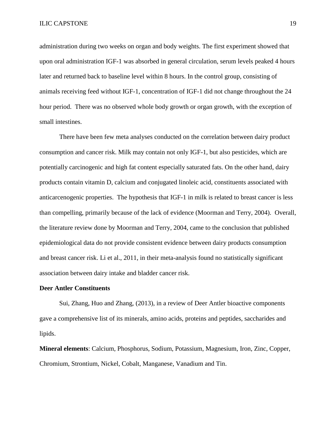administration during two weeks on organ and body weights. The first experiment showed that upon oral administration IGF-1 was absorbed in general circulation, serum levels peaked 4 hours later and returned back to baseline level within 8 hours. In the control group, consisting of animals receiving feed without IGF-1, concentration of IGF-1 did not change throughout the 24 hour period. There was no observed whole body growth or organ growth, with the exception of small intestines.

There have been few meta analyses conducted on the correlation between dairy product consumption and cancer risk. Milk may contain not only IGF-1, but also pesticides, which are potentially carcinogenic and high fat content especially saturated fats. On the other hand, dairy products contain vitamin D, calcium and conjugated linoleic acid, constituents associated with anticarcenogenic properties. The hypothesis that IGF-1 in milk is related to breast cancer is less than compelling, primarily because of the lack of evidence (Moorman and Terry, 2004). Overall, the literature review done by Moorman and Terry, 2004, came to the conclusion that published epidemiological data do not provide consistent evidence between dairy products consumption and breast cancer risk. Li et al., 2011, in their meta-analysis found no statistically significant association between dairy intake and bladder cancer risk.

#### **Deer Antler Constituents**

Sui, Zhang, Huo and Zhang, (2013), in a review of Deer Antler bioactive components gave a comprehensive list of its minerals, amino acids, proteins and peptides, saccharides and lipids.

**Mineral elements**: Calcium, Phosphorus, Sodium, Potassium, Magnesium, Iron, Zinc, Copper, Chromium, Strontium, Nickel, Cobalt, Manganese, Vanadium and Tin.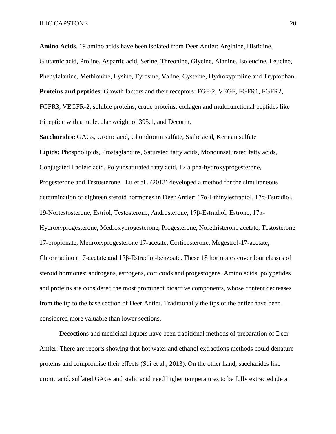**Amino Acids**. 19 amino acids have been isolated from Deer Antler: Arginine, Histidine, Glutamic acid, Proline, Aspartic acid, Serine, Threonine, Glycine, Alanine, Isoleucine, Leucine, Phenylalanine, Methionine, Lysine, Tyrosine, Valine, Cysteine, Hydroxyproline and Tryptophan. **Proteins and peptides**: Growth factors and their receptors: FGF-2, VEGF, FGFR1, FGFR2, FGFR3, VEGFR-2, soluble proteins, crude proteins, collagen and multifunctional peptides like tripeptide with a molecular weight of 395.1, and Decorin.

**Saccharides:** GAGs, Uronic acid, Chondroitin sulfate, Sialic acid, Keratan sulfate **Lipids:** Phospholipids, Prostaglandins, Saturated fatty acids, Monounsaturated fatty acids, Conjugated linoleic acid, Polyunsaturated fatty acid, 17 alpha-hydroxyprogesterone, Progesterone and Testosterone. Lu et al., (2013) developed a method for the simultaneous determination of eighteen steroid hormones in Deer Antler: 17α-Ethinylestradiol, 17α-Estradiol, 19-Nortestosterone, Estriol, Testosterone, Androsterone, 17β-Estradiol, Estrone, 17α-Hydroxyprogesterone, Medroxyprogesterone, Progesterone, Norethisterone acetate, Testosterone 17-propionate, Medroxyprogesterone 17-acetate, Corticosterone, Megestrol-17-acetate, Chlormadinon 17-acetate and 17β-Estradiol-benzoate. These 18 hormones cover four classes of steroid hormones: androgens, estrogens, corticoids and progestogens. Amino acids, polypetides and proteins are considered the most prominent bioactive components, whose content decreases from the tip to the base section of Deer Antler. Traditionally the tips of the antler have been considered more valuable than lower sections.

Decoctions and medicinal liquors have been traditional methods of preparation of Deer Antler. There are reports showing that hot water and ethanol extractions methods could denature proteins and compromise their effects (Sui et al., 2013). On the other hand, saccharides like uronic acid, sulfated GAGs and sialic acid need higher temperatures to be fully extracted (Je at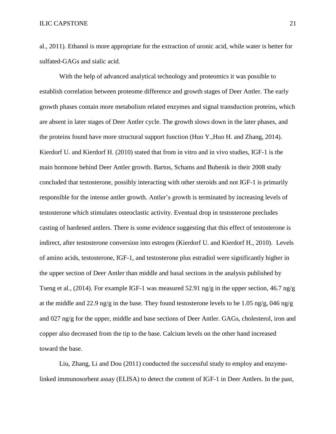al., 2011). Ethanol is more appropriate for the extraction of uronic acid, while water is better for sulfated-GAGs and sialic acid.

With the help of advanced analytical technology and proteomics it was possible to establish correlation between proteome difference and growth stages of Deer Antler. The early growth phases contain more metabolism related enzymes and signal transduction proteins, which are absent in later stages of Deer Antler cycle. The growth slows down in the later phases, and the proteins found have more structural support function (Huo Y.,Huo H. and Zhang, 2014). Kierdorf U. and Kierdorf H. (2010) stated that from in vitro and in vivo studies, IGF-1 is the main hormone behind Deer Antler growth. Bartos, Schams and Bubenik in their 2008 study concluded that testosterone, possibly interacting with other steroids and not IGF-1 is primarily responsible for the intense antler growth. Antler's growth is terminated by increasing levels of testosterone which stimulates osteoclastic activity. Eventual drop in testosterone precludes casting of hardened antlers. There is some evidence suggesting that this effect of testosterone is indirect, after testosterone conversion into estrogen (Kierdorf U. and Kierdorf H., 2010). Levels of amino acids, testosterone, IGF-1, and testosterone plus estradiol were significantly higher in the upper section of Deer Antler than middle and basal sections in the analysis published by Tseng et al., (2014). For example IGF-1 was measured 52.91 ng/g in the upper section, 46.7 ng/g at the middle and 22.9 ng/g in the base. They found testosterone levels to be 1.05 ng/g, 046 ng/g and 027 ng/g for the upper, middle and base sections of Deer Antler. GAGs, cholesterol, iron and copper also decreased from the tip to the base. Calcium levels on the other hand increased toward the base.

Liu, Zhang, Li and Dou (2011) conducted the successful study to employ and enzymelinked immunosorbent assay (ELISA) to detect the content of IGF-1 in Deer Antlers. In the past,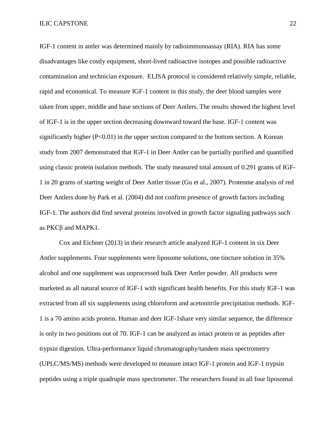ILIC CAPSTONE 22

IGF-1 content in antler was determined mainly by radioimmunoassay (RIA). RIA has some disadvantages like costly equipment, short-lived radioactive isotopes and possible radioactive contamination and technician exposure. ELISA protocol is considered relatively simple, reliable, rapid and economical. To measure IGF-1 content in this study, the deer blood samples were taken from upper, middle and base sections of Deer Antlers. The results showed the highest level of IGF-1 is in the upper section decreasing downward toward the base. IGF-1 content was significantly higher  $(P<0.01)$  in the upper section compared to the bottom section. A Korean study from 2007 demonstrated that IGF-1 in Deer Antler can be partially purified and quantified using classic protein isolation methods. The study measured total amount of 0.291 grams of IGF-1 in 20 grams of starting weight of Deer Antler tissue (Gu et al., 2007). Proteome analysis of red Deer Antlers done by Park et al. (2004) did not confirm presence of growth factors including IGF-1. The authors did find several proteins involved in growth factor signaling pathways such as PKCβ and MAPK1.

Cox and Eichner (2013) in their research article analyzed IGF-1 content in six Deer Antler supplements. Four supplements were liposome solutions, one tincture solution in 35% alcohol and one supplement was unprocessed bulk Deer Antler powder. All products were marketed as all natural source of IGF-1 with significant health benefits. For this study IGF-1 was extracted from all six supplements using chloroform and acetonitrile precipitation methods. IGF-1 is a 70 amino acids protein. Human and deer IGF-1share very similar sequence, the difference is only in two positions out of 70. IGF-1 can be analyzed as intact protein or as peptides after trypsin digestion. Ultra-performance liquid chromatography/tandem mass spectrometry (UPLC/MS/MS) methods were developed to measure intact IGF-1 protein and IGF-1 trypsin peptides using a triple quadruple mass spectrometer. The researchers found in all four liposomal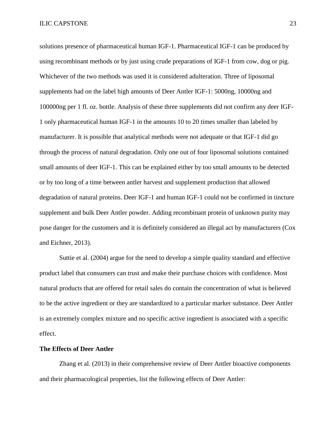solutions presence of pharmaceutical human IGF-1. Pharmaceutical IGF-1 can be produced by using recombinant methods or by just using crude preparations of IGF-1 from cow, dog or pig. Whichever of the two methods was used it is considered adulteration. Three of liposomal supplements had on the label high amounts of Deer Antler IGF-1: 5000ng, 10000ng and 100000ng per 1 fl. oz. bottle. Analysis of these three supplements did not confirm any deer IGF-1 only pharmaceutical human IGF-1 in the amounts 10 to 20 times smaller than labeled by manufacturer. It is possible that analytical methods were not adequate or that IGF-1 did go through the process of natural degradation. Only one out of four liposomal solutions contained small amounts of deer IGF-1. This can be explained either by too small amounts to be detected or by too long of a time between antler harvest and supplement production that allowed degradation of natural proteins. Deer IGF-1 and human IGF-1 could not be confirmed in tincture supplement and bulk Deer Antler powder. Adding recombinant protein of unknown purity may pose danger for the customers and it is definitely considered an illegal act by manufacturers (Cox and Eichner, 2013).

Suttie et al. (2004) argue for the need to develop a simple quality standard and effective product label that consumers can trust and make their purchase choices with confidence. Most natural products that are offered for retail sales do contain the concentration of what is believed to be the active ingredient or they are standardized to a particular marker substance. Deer Antler is an extremely complex mixture and no specific active ingredient is associated with a specific effect.

#### **The Effects of Deer Antler**

Zhang et al. (2013) in their comprehensive review of Deer Antler bioactive components and their pharmacological properties, list the following effects of Deer Antler: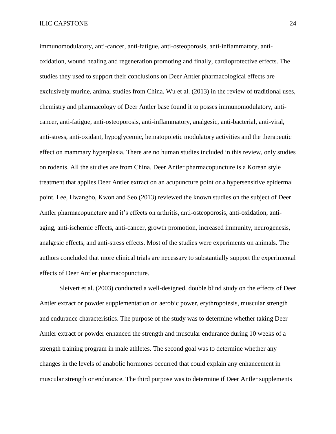immunomodulatory, anti-cancer, anti-fatigue, anti-osteoporosis, anti-inflammatory, antioxidation, wound healing and regeneration promoting and finally, cardioprotective effects. The studies they used to support their conclusions on Deer Antler pharmacological effects are exclusively murine, animal studies from China. Wu et al. (2013) in the review of traditional uses, chemistry and pharmacology of Deer Antler base found it to posses immunomodulatory, anticancer, anti-fatigue, anti-osteoporosis, anti-inflammatory, analgesic, anti-bacterial, anti-viral, anti-stress, anti-oxidant, hypoglycemic, hematopoietic modulatory activities and the therapeutic effect on mammary hyperplasia. There are no human studies included in this review, only studies on rodents. All the studies are from China. Deer Antler pharmacopuncture is a Korean style treatment that applies Deer Antler extract on an acupuncture point or a hypersensitive epidermal point. Lee, Hwangbo, Kwon and Seo (2013) reviewed the known studies on the subject of Deer Antler pharmacopuncture and it's effects on arthritis, anti-osteoporosis, anti-oxidation, antiaging, anti-ischemic effects, anti-cancer, growth promotion, increased immunity, neurogenesis, analgesic effects, and anti-stress effects. Most of the studies were experiments on animals. The authors concluded that more clinical trials are necessary to substantially support the experimental effects of Deer Antler pharmacopuncture.

Sleivert et al. (2003) conducted a well-designed, double blind study on the effects of Deer Antler extract or powder supplementation on aerobic power, erythropoiesis, muscular strength and endurance characteristics. The purpose of the study was to determine whether taking Deer Antler extract or powder enhanced the strength and muscular endurance during 10 weeks of a strength training program in male athletes. The second goal was to determine whether any changes in the levels of anabolic hormones occurred that could explain any enhancement in muscular strength or endurance. The third purpose was to determine if Deer Antler supplements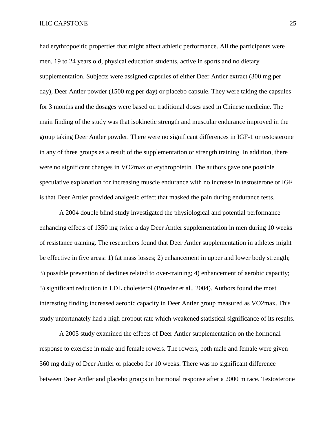#### ILIC CAPSTONE 25

had erythropoeitic properties that might affect athletic performance. All the participants were men, 19 to 24 years old, physical education students, active in sports and no dietary supplementation. Subjects were assigned capsules of either Deer Antler extract (300 mg per day), Deer Antler powder (1500 mg per day) or placebo capsule. They were taking the capsules for 3 months and the dosages were based on traditional doses used in Chinese medicine. The main finding of the study was that isokinetic strength and muscular endurance improved in the group taking Deer Antler powder. There were no significant differences in IGF-1 or testosterone in any of three groups as a result of the supplementation or strength training. In addition, there were no significant changes in VO2max or erythropoietin. The authors gave one possible speculative explanation for increasing muscle endurance with no increase in testosterone or IGF is that Deer Antler provided analgesic effect that masked the pain during endurance tests.

A 2004 double blind study investigated the physiological and potential performance enhancing effects of 1350 mg twice a day Deer Antler supplementation in men during 10 weeks of resistance training. The researchers found that Deer Antler supplementation in athletes might be effective in five areas: 1) fat mass losses; 2) enhancement in upper and lower body strength; 3) possible prevention of declines related to over-training; 4) enhancement of aerobic capacity; 5) significant reduction in LDL cholesterol (Broeder et al., 2004). Authors found the most interesting finding increased aerobic capacity in Deer Antler group measured as VO2max. This study unfortunately had a high dropout rate which weakened statistical significance of its results.

A 2005 study examined the effects of Deer Antler supplementation on the hormonal response to exercise in male and female rowers. The rowers, both male and female were given 560 mg daily of Deer Antler or placebo for 10 weeks. There was no significant difference between Deer Antler and placebo groups in hormonal response after a 2000 m race. Testosterone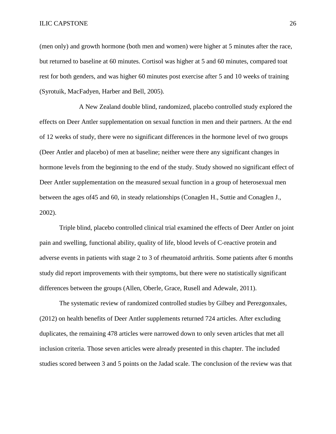#### ILIC CAPSTONE 26

(men only) and growth hormone (both men and women) were higher at 5 minutes after the race, but returned to baseline at 60 minutes. Cortisol was higher at 5 and 60 minutes, compared toat rest for both genders, and was higher 60 minutes post exercise after 5 and 10 weeks of training (Syrotuik, MacFadyen, Harber and Bell, 2005).

A New Zealand double blind, randomized, placebo controlled study explored the effects on Deer Antler supplementation on sexual function in men and their partners. At the end of 12 weeks of study, there were no significant differences in the hormone level of two groups (Deer Antler and placebo) of men at baseline; neither were there any significant changes in hormone levels from the beginning to the end of the study. Study showed no significant effect of Deer Antler supplementation on the measured sexual function in a group of heterosexual men between the ages of45 and 60, in steady relationships (Conaglen H., Suttie and Conaglen J., 2002).

Triple blind, placebo controlled clinical trial examined the effects of Deer Antler on joint pain and swelling, functional ability, quality of life, blood levels of C-reactive protein and adverse events in patients with stage 2 to 3 of rheumatoid arthritis. Some patients after 6 months study did report improvements with their symptoms, but there were no statistically significant differences between the groups (Allen, Oberle, Grace, Rusell and Adewale, 2011).

The systematic review of randomized controlled studies by Gilbey and Perezgonxales, (2012) on health benefits of Deer Antler supplements returned 724 articles. After excluding duplicates, the remaining 478 articles were narrowed down to only seven articles that met all inclusion criteria. Those seven articles were already presented in this chapter. The included studies scored between 3 and 5 points on the Jadad scale. The conclusion of the review was that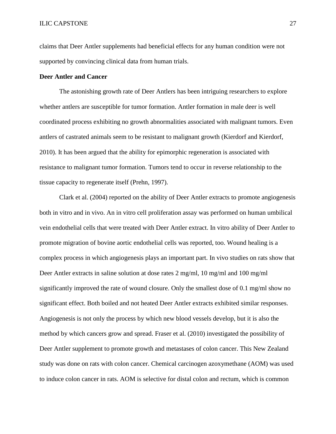claims that Deer Antler supplements had beneficial effects for any human condition were not supported by convincing clinical data from human trials.

### **Deer Antler and Cancer**

The astonishing growth rate of Deer Antlers has been intriguing researchers to explore whether antlers are susceptible for tumor formation. Antler formation in male deer is well coordinated process exhibiting no growth abnormalities associated with malignant tumors. Even antlers of castrated animals seem to be resistant to malignant growth (Kierdorf and Kierdorf, 2010). It has been argued that the ability for epimorphic regeneration is associated with resistance to malignant tumor formation. Tumors tend to occur in reverse relationship to the tissue capacity to regenerate itself (Prehn, 1997).

Clark et al. (2004) reported on the ability of Deer Antler extracts to promote angiogenesis both in vitro and in vivo. An in vitro cell proliferation assay was performed on human umbilical vein endothelial cells that were treated with Deer Antler extract. In vitro ability of Deer Antler to promote migration of bovine aortic endothelial cells was reported, too. Wound healing is a complex process in which angiogenesis plays an important part. In vivo studies on rats show that Deer Antler extracts in saline solution at dose rates 2 mg/ml, 10 mg/ml and 100 mg/ml significantly improved the rate of wound closure. Only the smallest dose of 0.1 mg/ml show no significant effect. Both boiled and not heated Deer Antler extracts exhibited similar responses. Angiogenesis is not only the process by which new blood vessels develop, but it is also the method by which cancers grow and spread. Fraser et al. (2010) investigated the possibility of Deer Antler supplement to promote growth and metastases of colon cancer. This New Zealand study was done on rats with colon cancer. Chemical carcinogen azoxymethane (AOM) was used to induce colon cancer in rats. AOM is selective for distal colon and rectum, which is common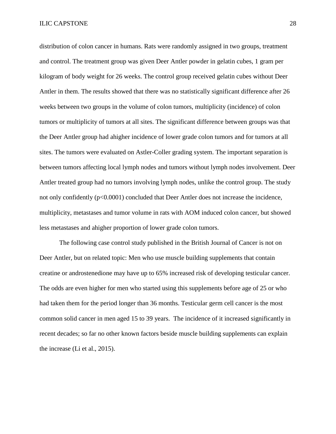distribution of colon cancer in humans. Rats were randomly assigned in two groups, treatment and control. The treatment group was given Deer Antler powder in gelatin cubes, 1 gram per kilogram of body weight for 26 weeks. The control group received gelatin cubes without Deer Antler in them. The results showed that there was no statistically significant difference after 26 weeks between two groups in the volume of colon tumors, multiplicity (incidence) of colon tumors or multiplicity of tumors at all sites. The significant difference between groups was that the Deer Antler group had ahigher incidence of lower grade colon tumors and for tumors at all sites. The tumors were evaluated on Astler-Coller grading system. The important separation is between tumors affecting local lymph nodes and tumors without lymph nodes involvement. Deer Antler treated group had no tumors involving lymph nodes, unlike the control group. The study not only confidently (p<0.0001) concluded that Deer Antler does not increase the incidence, multiplicity, metastases and tumor volume in rats with AOM induced colon cancer, but showed less metastases and ahigher proportion of lower grade colon tumors.

The following case control study published in the British Journal of Cancer is not on Deer Antler, but on related topic: Men who use muscle building supplements that contain creatine or androstenedione may have up to 65% increased risk of developing testicular cancer. The odds are even higher for men who started using this supplements before age of 25 or who had taken them for the period longer than 36 months. Testicular germ cell cancer is the most common solid cancer in men aged 15 to 39 years. The incidence of it increased significantly in recent decades; so far no other known factors beside muscle building supplements can explain the increase (Li et al., 2015).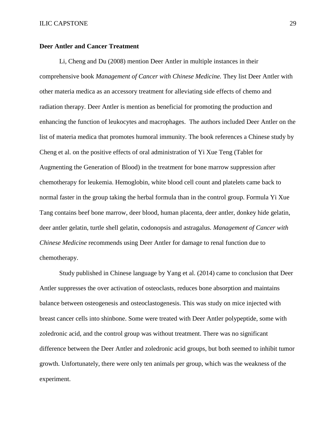## **Deer Antler and Cancer Treatment**

Li, Cheng and Du (2008) mention Deer Antler in multiple instances in their comprehensive book *Management of Cancer with Chinese Medicine.* They list Deer Antler with other materia medica as an accessory treatment for alleviating side effects of chemo and radiation therapy. Deer Antler is mention as beneficial for promoting the production and enhancing the function of leukocytes and macrophages. The authors included Deer Antler on the list of materia medica that promotes humoral immunity. The book references a Chinese study by Cheng et al. on the positive effects of oral administration of Yi Xue Teng (Tablet for Augmenting the Generation of Blood) in the treatment for bone marrow suppression after chemotherapy for leukemia. Hemoglobin, white blood cell count and platelets came back to normal faster in the group taking the herbal formula than in the control group. Formula Yi Xue Tang contains beef bone marrow, deer blood, human placenta, deer antler, donkey hide gelatin, deer antler gelatin, turtle shell gelatin, codonopsis and astragalus. *Management of Cancer with Chinese Medicine* recommends using Deer Antler for damage to renal function due to chemotherapy.

Study published in Chinese language by Yang et al. (2014) came to conclusion that Deer Antler suppresses the over activation of osteoclasts, reduces bone absorption and maintains balance between osteogenesis and osteoclastogenesis. This was study on mice injected with breast cancer cells into shinbone. Some were treated with Deer Antler polypeptide, some with zoledronic acid, and the control group was without treatment. There was no significant difference between the Deer Antler and zoledronic acid groups, but both seemed to inhibit tumor growth. Unfortunately, there were only ten animals per group, which was the weakness of the experiment.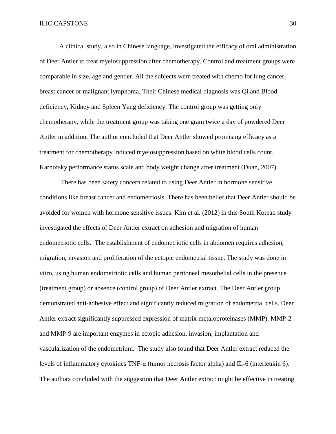A clinical study, also in Chinese language, investigated the efficacy of oral administration of Deer Antler to treat myelosuppression after chemotherapy. Control and treatment groups were comparable in size, age and gender. All the subjects were treated with chemo for lung cancer, breast cancer or malignant lymphoma. Their Chinese medical diagnosis was Qi and Blood deficiency, Kidney and Spleen Yang deficiency. The control group was getting only chemotherapy, while the treatment group was taking one gram twice a day of powdered Deer Antler in addition. The author concluded that Deer Antler showed promising efficacy as a treatment for chemotherapy induced myelosuppression based on white blood cells count, Karnofsky performance status scale and body weight change after treatment (Duan, 2007).

There has been safety concern related to using Deer Antler in hormone sensitive conditions like breast cancer and endometriosis. There has been belief that Deer Antler should be avoided for women with hormone sensitive issues. Kim et al. (2012) in this South Korean study investigated the effects of Deer Antler extract on adhesion and migration of human endometriotic cells. The establishment of endometriotic cells in abdomen requires adhesion, migration, invasion and proliferation of the ectopic endometrial tissue. The study was done in vitro, using human endometriotic cells and human peritoneal mesothelial cells in the presence (treatment group) or absence (control group) of Deer Antler extract. The Deer Antler group demonstrated anti-adhesive effect and significantly reduced migration of endometrial cells. Deer Antler extract significantly suppressed expression of matrix metaloproteinases (MMP). MMP-2 and MMP-9 are important enzymes in ectopic adhesion, invasion, implantation and vascularization of the endometrium. The study also found that Deer Antler extract reduced the levels of inflammatory cytokines TNF-α (tumor necrosis factor alpha) and IL-6 (interleukin 6). The authors concluded with the suggestion that Deer Antler extract might be effective in treating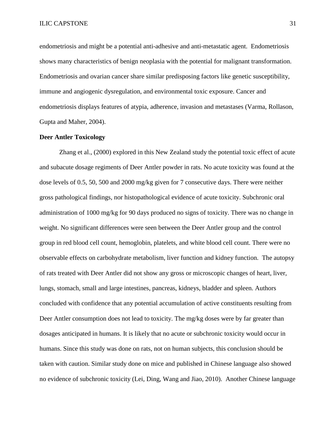endometriosis and might be a potential anti-adhesive and anti-metastatic agent. Endometriosis shows many characteristics of benign neoplasia with the potential for malignant transformation. Endometriosis and ovarian cancer share similar predisposing factors like genetic susceptibility, immune and angiogenic dysregulation, and environmental toxic exposure. Cancer and endometriosis displays features of atypia, adherence, invasion and metastases (Varma, Rollason, Gupta and Maher, 2004).

#### **Deer Antler Toxicology**

Zhang et al., (2000) explored in this New Zealand study the potential toxic effect of acute and subacute dosage regiments of Deer Antler powder in rats. No acute toxicity was found at the dose levels of 0.5, 50, 500 and 2000 mg/kg given for 7 consecutive days. There were neither gross pathological findings, nor histopathological evidence of acute toxicity. Subchronic oral administration of 1000 mg/kg for 90 days produced no signs of toxicity. There was no change in weight. No significant differences were seen between the Deer Antler group and the control group in red blood cell count, hemoglobin, platelets, and white blood cell count. There were no observable effects on carbohydrate metabolism, liver function and kidney function. The autopsy of rats treated with Deer Antler did not show any gross or microscopic changes of heart, liver, lungs, stomach, small and large intestines, pancreas, kidneys, bladder and spleen. Authors concluded with confidence that any potential accumulation of active constituents resulting from Deer Antler consumption does not lead to toxicity. The mg/kg doses were by far greater than dosages anticipated in humans. It is likely that no acute or subchronic toxicity would occur in humans. Since this study was done on rats, not on human subjects, this conclusion should be taken with caution. Similar study done on mice and published in Chinese language also showed no evidence of subchronic toxicity (Lei, Ding, Wang and Jiao, 2010). Another Chinese language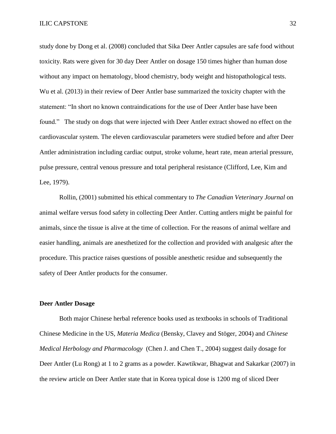study done by Dong et al. (2008) concluded that Sika Deer Antler capsules are safe food without toxicity. Rats were given for 30 day Deer Antler on dosage 150 times higher than human dose without any impact on hematology, blood chemistry, body weight and histopathological tests. Wu et al. (2013) in their review of Deer Antler base summarized the toxicity chapter with the statement: "In short no known contraindications for the use of Deer Antler base have been found." The study on dogs that were injected with Deer Antler extract showed no effect on the cardiovascular system. The eleven cardiovascular parameters were studied before and after Deer Antler administration including cardiac output, stroke volume, heart rate, mean arterial pressure, pulse pressure, central venous pressure and total peripheral resistance (Clifford, Lee, Kim and Lee, 1979).

Rollin, (2001) submitted his ethical commentary to *The Canadian Veterinary Journal* on animal welfare versus food safety in collecting Deer Antler. Cutting antlers might be painful for animals, since the tissue is alive at the time of collection. For the reasons of animal welfare and easier handling, animals are anesthetized for the collection and provided with analgesic after the procedure. This practice raises questions of possible anesthetic residue and subsequently the safety of Deer Antler products for the consumer.

#### **Deer Antler Dosage**

Both major Chinese herbal reference books used as textbooks in schools of Traditional Chinese Medicine in the US, *Materia Medica* (Bensky, Clavey and Stöger, 2004) and *Chinese Medical Herbology and Pharmacology* (Chen J. and Chen T., 2004) suggest daily dosage for Deer Antler (Lu Rong) at 1 to 2 grams as a powder. Kawtikwar, Bhagwat and Sakarkar (2007) in the review article on Deer Antler state that in Korea typical dose is 1200 mg of sliced Deer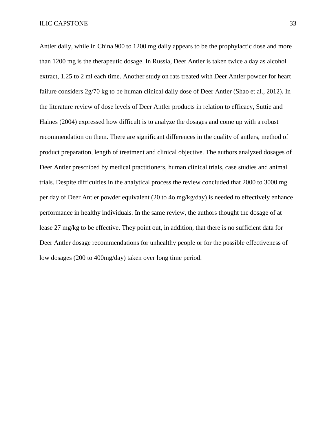#### ILIC CAPSTONE 33

Antler daily, while in China 900 to 1200 mg daily appears to be the prophylactic dose and more than 1200 mg is the therapeutic dosage. In Russia, Deer Antler is taken twice a day as alcohol extract, 1.25 to 2 ml each time. Another study on rats treated with Deer Antler powder for heart failure considers 2g/70 kg to be human clinical daily dose of Deer Antler (Shao et al., 2012). In the literature review of dose levels of Deer Antler products in relation to efficacy, Suttie and Haines (2004) expressed how difficult is to analyze the dosages and come up with a robust recommendation on them. There are significant differences in the quality of antlers, method of product preparation, length of treatment and clinical objective. The authors analyzed dosages of Deer Antler prescribed by medical practitioners, human clinical trials, case studies and animal trials. Despite difficulties in the analytical process the review concluded that 2000 to 3000 mg per day of Deer Antler powder equivalent (20 to 4o mg/kg/day) is needed to effectively enhance performance in healthy individuals. In the same review, the authors thought the dosage of at lease 27 mg/kg to be effective. They point out, in addition, that there is no sufficient data for Deer Antler dosage recommendations for unhealthy people or for the possible effectiveness of low dosages (200 to 400mg/day) taken over long time period.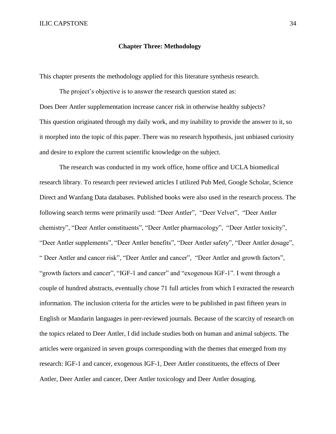#### **Chapter Three: Methodology**

This chapter presents the methodology applied for this literature synthesis research.

The project's objective is to answer the research question stated as: Does Deer Antler supplementation increase cancer risk in otherwise healthy subjects? This question originated through my daily work, and my inability to provide the answer to it, so it morphed into the topic of this paper. There was no research hypothesis, just unbiased curiosity and desire to explore the current scientific knowledge on the subject.

The research was conducted in my work office, home office and UCLA biomedical research library. To research peer reviewed articles I utilized Pub Med, Google Scholar, Science Direct and Wanfang Data databases. Published books were also used in the research process. The following search terms were primarily used: "Deer Antler", "Deer Velvet", "Deer Antler chemistry", "Deer Antler constituents", "Deer Antler pharmacology", "Deer Antler toxicity", "Deer Antler supplements", "Deer Antler benefits", "Deer Antler safety", "Deer Antler dosage", " Deer Antler and cancer risk", "Deer Antler and cancer", "Deer Antler and growth factors", "growth factors and cancer", "IGF-1 and cancer" and "exogenous IGF-1". I went through a couple of hundred abstracts, eventually chose 71 full articles from which I extracted the research information. The inclusion criteria for the articles were to be published in past fifteen years in English or Mandarin languages in peer-reviewed journals. Because of the scarcity of research on the topics related to Deer Antler, I did include studies both on human and animal subjects. The articles were organized in seven groups corresponding with the themes that emerged from my research: IGF-1 and cancer, exogenous IGF-1, Deer Antler constituents, the effects of Deer Antler, Deer Antler and cancer, Deer Antler toxicology and Deer Antler dosaging.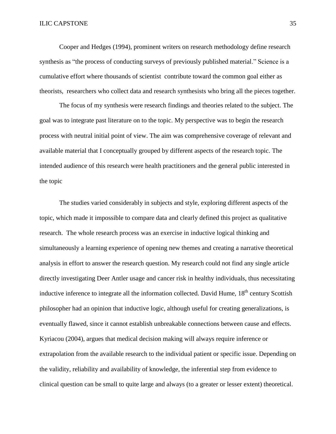Cooper and Hedges (1994), prominent writers on research methodology define research synthesis as "the process of conducting surveys of previously published material." Science is a cumulative effort where thousands of scientist contribute toward the common goal either as theorists, researchers who collect data and research synthesists who bring all the pieces together.

The focus of my synthesis were research findings and theories related to the subject. The goal was to integrate past literature on to the topic. My perspective was to begin the research process with neutral initial point of view. The aim was comprehensive coverage of relevant and available material that I conceptually grouped by different aspects of the research topic. The intended audience of this research were health practitioners and the general public interested in the topic

The studies varied considerably in subjects and style, exploring different aspects of the topic, which made it impossible to compare data and clearly defined this project as qualitative research. The whole research process was an exercise in inductive logical thinking and simultaneously a learning experience of opening new themes and creating a narrative theoretical analysis in effort to answer the research question. My research could not find any single article directly investigating Deer Antler usage and cancer risk in healthy individuals, thus necessitating inductive inference to integrate all the information collected. David Hume, 18<sup>th</sup> century Scottish philosopher had an opinion that inductive logic, although useful for creating generalizations, is eventually flawed, since it cannot establish unbreakable connections between cause and effects. Kyriacou (2004), argues that medical decision making will always require inference or extrapolation from the available research to the individual patient or specific issue. Depending on the validity, reliability and availability of knowledge, the inferential step from evidence to clinical question can be small to quite large and always (to a greater or lesser extent) theoretical.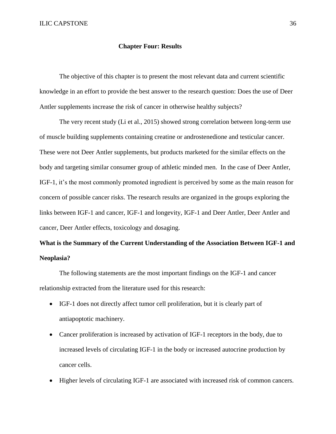#### **Chapter Four: Results**

The objective of this chapter is to present the most relevant data and current scientific knowledge in an effort to provide the best answer to the research question: Does the use of Deer Antler supplements increase the risk of cancer in otherwise healthy subjects?

The very recent study (Li et al., 2015) showed strong correlation between long-term use of muscle building supplements containing creatine or androstenedione and testicular cancer. These were not Deer Antler supplements, but products marketed for the similar effects on the body and targeting similar consumer group of athletic minded men. In the case of Deer Antler, IGF-1, it's the most commonly promoted ingredient is perceived by some as the main reason for concern of possible cancer risks. The research results are organized in the groups exploring the links between IGF-1 and cancer, IGF-1 and longevity, IGF-1 and Deer Antler, Deer Antler and cancer, Deer Antler effects, toxicology and dosaging.

# **What is the Summary of the Current Understanding of the Association Between IGF-1 and Neoplasia?**

The following statements are the most important findings on the IGF-1 and cancer relationship extracted from the literature used for this research:

- IGF-1 does not directly affect tumor cell proliferation, but it is clearly part of antiapoptotic machinery.
- Cancer proliferation is increased by activation of IGF-1 receptors in the body, due to increased levels of circulating IGF-1 in the body or increased autocrine production by cancer cells.
- Higher levels of circulating IGF-1 are associated with increased risk of common cancers.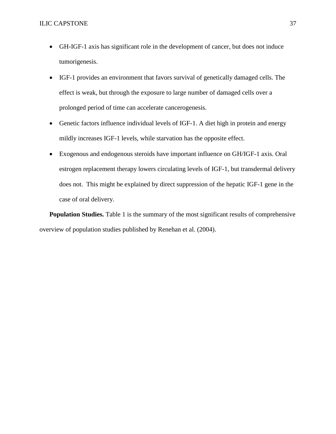- GH-IGF-1 axis has significant role in the development of cancer, but does not induce tumorigenesis.
- IGF-1 provides an environment that favors survival of genetically damaged cells. The effect is weak, but through the exposure to large number of damaged cells over a prolonged period of time can accelerate cancerogenesis.
- Genetic factors influence individual levels of IGF-1. A diet high in protein and energy mildly increases IGF-1 levels, while starvation has the opposite effect.
- Exogenous and endogenous steroids have important influence on GH/IGF-1 axis. Oral estrogen replacement therapy lowers circulating levels of IGF-1, but transdermal delivery does not. This might be explained by direct suppression of the hepatic IGF-1 gene in the case of oral delivery.

**Population Studies.** Table 1 is the summary of the most significant results of comprehensive overview of population studies published by Renehan et al. (2004).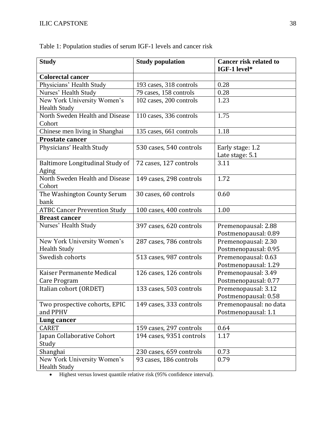| <b>Study</b>                        | <b>Study population</b>  | <b>Cancer risk related to</b><br>IGF-1 level* |
|-------------------------------------|--------------------------|-----------------------------------------------|
| <b>Colorectal cancer</b>            |                          |                                               |
| Physicians' Health Study            | 193 cases, 318 controls  | 0.28                                          |
| Nurses' Health Study                | 79 cases, 158 controls   | 0.28                                          |
| New York University Women's         | 102 cases, 200 controls  | 1.23                                          |
| <b>Health Study</b>                 |                          |                                               |
| North Sweden Health and Disease     | 110 cases, 336 controls  | 1.75                                          |
| Cohort                              |                          |                                               |
| Chinese men living in Shanghai      | 135 cases, 661 controls  | 1.18                                          |
| <b>Prostate cancer</b>              |                          |                                               |
| Physicians' Health Study            | 530 cases, 540 controls  | Early stage: 1.2                              |
|                                     |                          | Late stage: 5.1                               |
| Baltimore Longitudinal Study of     | 72 cases, 127 controls   | 3.11                                          |
| Aging                               |                          |                                               |
| North Sweden Health and Disease     | 149 cases, 298 controls  | 1.72                                          |
| Cohort                              |                          |                                               |
| The Washington County Serum         | 30 cases, 60 controls    | 0.60                                          |
| bank                                |                          |                                               |
| <b>ATBC Cancer Prevention Study</b> | 100 cases, 400 controls  | 1.00                                          |
| <b>Breast cancer</b>                |                          |                                               |
| Nurses' Health Study                | 397 cases, 620 controls  | Premenopausal: 2.88                           |
|                                     |                          | Postmenopausal: 0.89                          |
| New York University Women's         | 287 cases, 786 controls  | Premenopausal: 2.30                           |
| <b>Health Study</b>                 |                          | Postmenopausal: 0.95                          |
| Swedish cohorts                     | 513 cases, 987 controls  | Premenopausal: 0.63                           |
|                                     |                          | Postmenopausal: 1.29                          |
| Kaiser Permanente Medical           | 126 cases, 126 controls  | Premenopausal: 3.49                           |
| Care Program                        |                          | Postmenopausal: 0.77                          |
| Italian cohort (ORDET)              | 133 cases, 503 controls  | Premenopausal: 3.12                           |
|                                     |                          | Postmenopausal: 0.58                          |
| Two prospective cohorts, EPIC       | 149 cases, 333 controls  | Premenopausal: no data                        |
| and PPHV                            |                          | Postmenopausal: 1.1                           |
| Lung cancer                         |                          |                                               |
| <b>CARET</b>                        | 159 cases, 297 controls  | 0.64                                          |
| Japan Collaborative Cohort          | 194 cases, 9351 controls | 1.17                                          |
| Study                               |                          |                                               |
| Shanghai                            | 230 cases, 659 controls  | 0.73                                          |
| New York University Women's         | 93 cases, 186 controls   | 0.79                                          |
| <b>Health Study</b>                 |                          |                                               |

Table 1: Population studies of serum IGF-1 levels and cancer risk

Highest versus lowest quantile relative risk (95% confidence interval).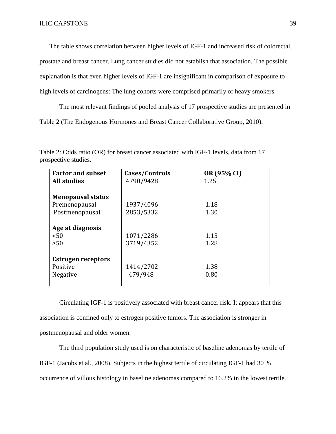The table shows correlation between higher levels of IGF-1 and increased risk of colorectal,

prostate and breast cancer. Lung cancer studies did not establish that association. The possible

explanation is that even higher levels of IGF-1 are insignificant in comparison of exposure to

high levels of carcinogens: The lung cohorts were comprised primarily of heavy smokers.

The most relevant findings of pooled analysis of 17 prospective studies are presented in

Table 2 (The Endogenous Hormones and Breast Cancer Collaborative Group, 2010).

| <b>Factor and subset</b>  | Cases/Controls | OR (95% CI) |
|---------------------------|----------------|-------------|
| <b>All studies</b>        | 4790/9428      | 1.25        |
|                           |                |             |
| <b>Menopausal status</b>  |                |             |
| Premenopausal             | 1937/4096      | 1.18        |
| Postmenopausal            | 2853/5332      | 1.30        |
|                           |                |             |
| Age at diagnosis          |                |             |
| < 50                      | 1071/2286      | 1.15        |
| $\geq 50$                 | 3719/4352      | 1.28        |
|                           |                |             |
| <b>Estrogen receptors</b> |                |             |
| Positive                  | 1414/2702      | 1.38        |
| Negative                  | 479/948        | 0.80        |
|                           |                |             |

Table 2: Odds ratio (OR) for breast cancer associated with IGF-1 levels, data from 17 prospective studies.

Circulating IGF-1 is positively associated with breast cancer risk. It appears that this association is confined only to estrogen positive tumors. The association is stronger in postmenopausal and older women.

The third population study used is on characteristic of baseline adenomas by tertile of IGF-1 (Jacobs et al., 2008). Subjects in the highest tertile of circulating IGF-1 had 30 % occurrence of villous histology in baseline adenomas compared to 16.2% in the lowest tertile.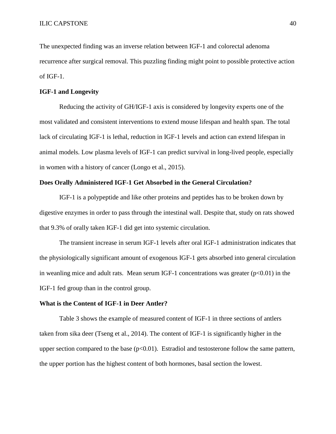The unexpected finding was an inverse relation between IGF-1 and colorectal adenoma recurrence after surgical removal. This puzzling finding might point to possible protective action of IGF-1.

#### **IGF-1 and Longevity**

Reducing the activity of GH/IGF-1 axis is considered by longevity experts one of the most validated and consistent interventions to extend mouse lifespan and health span. The total lack of circulating IGF-1 is lethal, reduction in IGF-1 levels and action can extend lifespan in animal models. Low plasma levels of IGF-1 can predict survival in long-lived people, especially in women with a history of cancer (Longo et al., 2015).

#### **Does Orally Administered IGF-1 Get Absorbed in the General Circulation?**

IGF-1 is a polypeptide and like other proteins and peptides has to be broken down by digestive enzymes in order to pass through the intestinal wall. Despite that, study on rats showed that 9.3% of orally taken IGF-1 did get into systemic circulation.

The transient increase in serum IGF-1 levels after oral IGF-1 administration indicates that the physiologically significant amount of exogenous IGF-1 gets absorbed into general circulation in weanling mice and adult rats. Mean serum IGF-1 concentrations was greater  $(p<0.01)$  in the IGF-1 fed group than in the control group.

#### **What is the Content of IGF-1 in Deer Antler?**

Table 3 shows the example of measured content of IGF-1 in three sections of antlers taken from sika deer (Tseng et al., 2014). The content of IGF-1 is significantly higher in the upper section compared to the base  $(p<0.01)$ . Estradiol and testosterone follow the same pattern, the upper portion has the highest content of both hormones, basal section the lowest.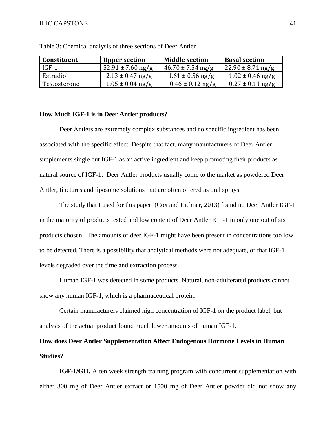| Constituent  | <b>Upper section</b>  | <b>Middle section</b> | <b>Basal section</b>   |
|--------------|-----------------------|-----------------------|------------------------|
| IGF-1        | $52.91 \pm 7.60$ ng/g | $46.70 \pm 7.54$ ng/g | $122.90 \pm 8.71$ ng/g |
| Estradiol    | $2.13 \pm 0.47$ ng/g  | $1.61 \pm 0.56$ ng/g  | $1.02 \pm 0.46$ ng/g   |
| Testosterone | $1.05 \pm 0.04$ ng/g  | $0.46 \pm 0.12$ ng/g  | $0.27 \pm 0.11$ ng/g   |

Table 3: Chemical analysis of three sections of Deer Antler

#### **How Much IGF-1 is in Deer Antler products?**

Deer Antlers are extremely complex substances and no specific ingredient has been associated with the specific effect. Despite that fact, many manufacturers of Deer Antler supplements single out IGF-1 as an active ingredient and keep promoting their products as natural source of IGF-1. Deer Antler products usually come to the market as powdered Deer Antler, tinctures and liposome solutions that are often offered as oral sprays.

The study that I used for this paper (Cox and Eichner, 2013) found no Deer Antler IGF-1 in the majority of products tested and low content of Deer Antler IGF-1 in only one out of six products chosen. The amounts of deer IGF-1 might have been present in concentrations too low to be detected. There is a possibility that analytical methods were not adequate, or that IGF-1 levels degraded over the time and extraction process.

Human IGF-1 was detected in some products. Natural, non-adulterated products cannot show any human IGF-1, which is a pharmaceutical protein.

Certain manufacturers claimed high concentration of IGF-1 on the product label, but analysis of the actual product found much lower amounts of human IGF-1.

# **How does Deer Antler Supplementation Affect Endogenous Hormone Levels in Human Studies?**

**IGF-1/GH.** A ten week strength training program with concurrent supplementation with either 300 mg of Deer Antler extract or 1500 mg of Deer Antler powder did not show any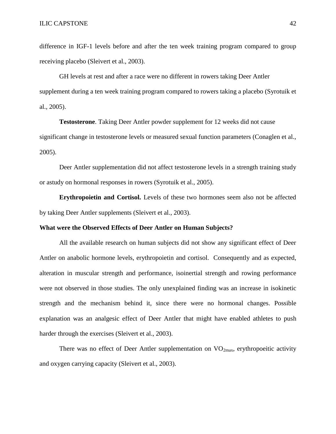difference in IGF-1 levels before and after the ten week training program compared to group receiving placebo (Sleivert et al., 2003).

GH levels at rest and after a race were no different in rowers taking Deer Antler supplement during a ten week training program compared to rowers taking a placebo (Syrotuik et al., 2005).

**Testosterone**. Taking Deer Antler powder supplement for 12 weeks did not cause significant change in testosterone levels or measured sexual function parameters (Conaglen et al., 2005).

Deer Antler supplementation did not affect testosterone levels in a strength training study or astudy on hormonal responses in rowers (Syrotuik et al., 2005).

**Erythropoietin and Cortisol.** Levels of these two hormones seem also not be affected by taking Deer Antler supplements (Sleivert et al., 2003).

#### **What were the Observed Effects of Deer Antler on Human Subjects?**

All the available research on human subjects did not show any significant effect of Deer Antler on anabolic hormone levels, erythropoietin and cortisol. Consequently and as expected, alteration in muscular strength and performance, isoinertial strength and rowing performance were not observed in those studies. The only unexplained finding was an increase in isokinetic strength and the mechanism behind it, since there were no hormonal changes. Possible explanation was an analgesic effect of Deer Antler that might have enabled athletes to push harder through the exercises (Sleivert et al., 2003).

There was no effect of Deer Antler supplementation on  $VO_{2max}$ , erythropoeitic activity and oxygen carrying capacity (Sleivert et al., 2003).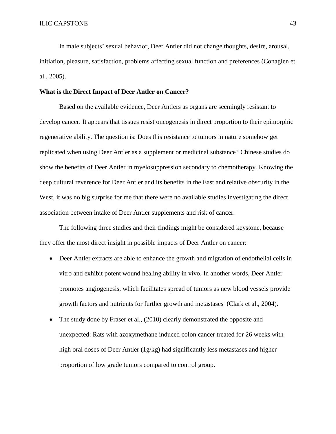In male subjects' sexual behavior, Deer Antler did not change thoughts, desire, arousal, initiation, pleasure, satisfaction, problems affecting sexual function and preferences (Conaglen et al., 2005).

#### **What is the Direct Impact of Deer Antler on Cancer?**

Based on the available evidence, Deer Antlers as organs are seemingly resistant to develop cancer. It appears that tissues resist oncogenesis in direct proportion to their epimorphic regenerative ability. The question is: Does this resistance to tumors in nature somehow get replicated when using Deer Antler as a supplement or medicinal substance? Chinese studies do show the benefits of Deer Antler in myelosuppression secondary to chemotherapy. Knowing the deep cultural reverence for Deer Antler and its benefits in the East and relative obscurity in the West, it was no big surprise for me that there were no available studies investigating the direct association between intake of Deer Antler supplements and risk of cancer.

The following three studies and their findings might be considered keystone, because they offer the most direct insight in possible impacts of Deer Antler on cancer:

- Deer Antler extracts are able to enhance the growth and migration of endothelial cells in vitro and exhibit potent wound healing ability in vivo. In another words, Deer Antler promotes angiogenesis, which facilitates spread of tumors as new blood vessels provide growth factors and nutrients for further growth and metastases (Clark et al., 2004).
- The study done by Fraser et al., (2010) clearly demonstrated the opposite and unexpected: Rats with azoxymethane induced colon cancer treated for 26 weeks with high oral doses of Deer Antler (1g/kg) had significantly less metastases and higher proportion of low grade tumors compared to control group.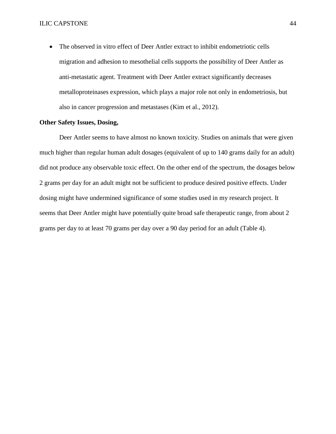The observed in vitro effect of Deer Antler extract to inhibit endometriotic cells migration and adhesion to mesothelial cells supports the possibility of Deer Antler as anti-metastatic agent. Treatment with Deer Antler extract significantly decreases metalloproteinases expression, which plays a major role not only in endometriosis, but also in cancer progression and metastases (Kim et al., 2012).

#### **Other Safety Issues, Dosing,**

Deer Antler seems to have almost no known toxicity. Studies on animals that were given much higher than regular human adult dosages (equivalent of up to 140 grams daily for an adult) did not produce any observable toxic effect. On the other end of the spectrum, the dosages below 2 grams per day for an adult might not be sufficient to produce desired positive effects. Under dosing might have undermined significance of some studies used in my research project. It seems that Deer Antler might have potentially quite broad safe therapeutic range, from about 2 grams per day to at least 70 grams per day over a 90 day period for an adult (Table 4).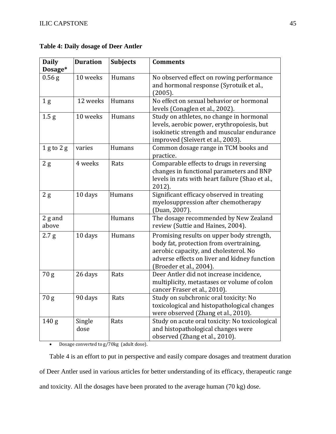| <b>Daily</b><br>Dosage* | <b>Duration</b> | <b>Subjects</b> | <b>Comments</b>                                                                                                                                                                                          |
|-------------------------|-----------------|-----------------|----------------------------------------------------------------------------------------------------------------------------------------------------------------------------------------------------------|
| $0.56$ g                | 10 weeks        | Humans          | No observed effect on rowing performance<br>and hormonal response (Syrotuik et al.,<br>(2005).                                                                                                           |
| 1 <sub>g</sub>          | 12 weeks        | Humans          | No effect on sexual behavior or hormonal<br>levels (Conaglen et al., 2002).                                                                                                                              |
| 1.5 <sub>g</sub>        | 10 weeks        | Humans          | Study on athletes, no change in hormonal<br>levels, aerobic power, erythropoiesis, but<br>isokinetic strength and muscular endurance<br>improved (Sleivert et al., 2003).                                |
| $1$ g to $2$ g          | varies          | Humans          | Common dosage range in TCM books and<br>practice.                                                                                                                                                        |
| 2g                      | 4 weeks         | Rats            | Comparable effects to drugs in reversing<br>changes in functional parameters and BNP<br>levels in rats with heart failure (Shao et al.,<br>2012).                                                        |
| 2g                      | 10 days         | Humans          | Significant efficacy observed in treating<br>myelosuppression after chemotherapy<br>(Duan, 2007).                                                                                                        |
| $2$ g and<br>above      |                 | Humans          | The dosage recommended by New Zealand<br>review (Suttie and Haines, 2004).                                                                                                                               |
| 2.7 g                   | 10 days         | Humans          | Promising results on upper body strength,<br>body fat, protection from overtraining,<br>aerobic capacity, and cholesterol. No<br>adverse effects on liver and kidney function<br>(Broeder et al., 2004). |
| 70 <sub>g</sub>         | 26 days         | Rats            | Deer Antler did not increase incidence,<br>multiplicity, metastases or volume of colon<br>cancer Fraser et al., 2010).                                                                                   |
| 70 <sub>g</sub>         | 90 days         | Rats            | Study on subchronic oral toxicity: No<br>toxicological and histopathological changes<br>were observed (Zhang et al., 2010).                                                                              |
| 140 <sub>g</sub>        | Single<br>dose  | Rats            | Study on acute oral toxicity: No toxicological<br>and histopathological changes were<br>observed (Zhang et al., 2010).                                                                                   |

**Table 4: Daily dosage of Deer Antler**

Dosage converted to g/70kg (adult dose).

Table 4 is an effort to put in perspective and easily compare dosages and treatment duration of Deer Antler used in various articles for better understanding of its efficacy, therapeutic range and toxicity. All the dosages have been prorated to the average human (70 kg) dose.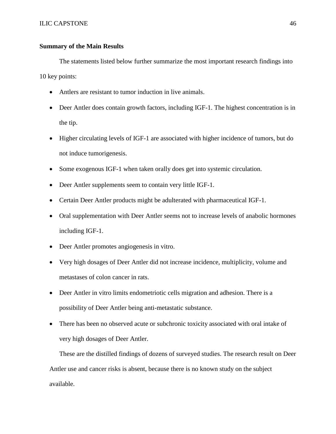## **Summary of the Main Results**

The statements listed below further summarize the most important research findings into 10 key points:

- Antlers are resistant to tumor induction in live animals.
- Deer Antler does contain growth factors, including IGF-1. The highest concentration is in the tip.
- Higher circulating levels of IGF-1 are associated with higher incidence of tumors, but do not induce tumorigenesis.
- Some exogenous IGF-1 when taken orally does get into systemic circulation.
- Deer Antler supplements seem to contain very little IGF-1.
- Certain Deer Antler products might be adulterated with pharmaceutical IGF-1.
- Oral supplementation with Deer Antler seems not to increase levels of anabolic hormones including IGF-1.
- Deer Antler promotes angiogenesis in vitro.
- Very high dosages of Deer Antler did not increase incidence, multiplicity, volume and metastases of colon cancer in rats.
- Deer Antler in vitro limits endometriotic cells migration and adhesion. There is a possibility of Deer Antler being anti-metastatic substance.
- There has been no observed acute or subchronic toxicity associated with oral intake of very high dosages of Deer Antler.

These are the distilled findings of dozens of surveyed studies. The research result on Deer Antler use and cancer risks is absent, because there is no known study on the subject available.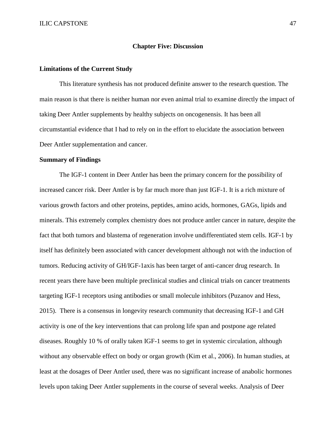#### **Chapter Five: Discussion**

#### **Limitations of the Current Study**

This literature synthesis has not produced definite answer to the research question. The main reason is that there is neither human nor even animal trial to examine directly the impact of taking Deer Antler supplements by healthy subjects on oncogenensis. It has been all circumstantial evidence that I had to rely on in the effort to elucidate the association between Deer Antler supplementation and cancer.

#### **Summary of Findings**

The IGF-1 content in Deer Antler has been the primary concern for the possibility of increased cancer risk. Deer Antler is by far much more than just IGF-1. It is a rich mixture of various growth factors and other proteins, peptides, amino acids, hormones, GAGs, lipids and minerals. This extremely complex chemistry does not produce antler cancer in nature, despite the fact that both tumors and blastema of regeneration involve undifferentiated stem cells. IGF-1 by itself has definitely been associated with cancer development although not with the induction of tumors. Reducing activity of GH/IGF-1axis has been target of anti-cancer drug research. In recent years there have been multiple preclinical studies and clinical trials on cancer treatments targeting IGF-1 receptors using antibodies or small molecule inhibitors (Puzanov and Hess, 2015). There is a consensus in longevity research community that decreasing IGF-1 and GH activity is one of the key interventions that can prolong life span and postpone age related diseases. Roughly 10 % of orally taken IGF-1 seems to get in systemic circulation, although without any observable effect on body or organ growth (Kim et al., 2006). In human studies, at least at the dosages of Deer Antler used, there was no significant increase of anabolic hormones levels upon taking Deer Antler supplements in the course of several weeks. Analysis of Deer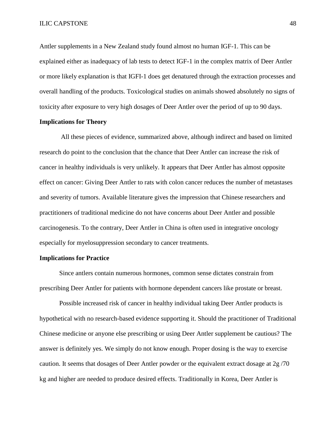Antler supplements in a New Zealand study found almost no human IGF-1. This can be explained either as inadequacy of lab tests to detect IGF-1 in the complex matrix of Deer Antler or more likely explanation is that IGFI-1 does get denatured through the extraction processes and overall handling of the products. Toxicological studies on animals showed absolutely no signs of toxicity after exposure to very high dosages of Deer Antler over the period of up to 90 days.

#### **Implications for Theory**

All these pieces of evidence, summarized above, although indirect and based on limited research do point to the conclusion that the chance that Deer Antler can increase the risk of cancer in healthy individuals is very unlikely. It appears that Deer Antler has almost opposite effect on cancer: Giving Deer Antler to rats with colon cancer reduces the number of metastases and severity of tumors. Available literature gives the impression that Chinese researchers and practitioners of traditional medicine do not have concerns about Deer Antler and possible carcinogenesis. To the contrary, Deer Antler in China is often used in integrative oncology especially for myelosuppression secondary to cancer treatments.

#### **Implications for Practice**

Since antlers contain numerous hormones, common sense dictates constrain from prescribing Deer Antler for patients with hormone dependent cancers like prostate or breast.

Possible increased risk of cancer in healthy individual taking Deer Antler products is hypothetical with no research-based evidence supporting it. Should the practitioner of Traditional Chinese medicine or anyone else prescribing or using Deer Antler supplement be cautious? The answer is definitely yes. We simply do not know enough. Proper dosing is the way to exercise caution. It seems that dosages of Deer Antler powder or the equivalent extract dosage at 2g /70 kg and higher are needed to produce desired effects. Traditionally in Korea, Deer Antler is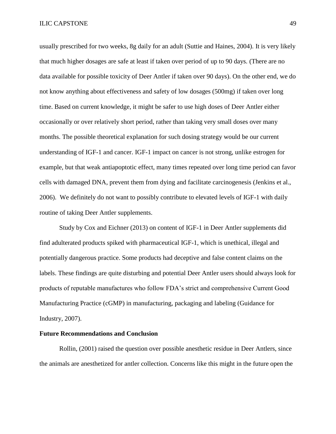usually prescribed for two weeks, 8g daily for an adult (Suttie and Haines, 2004). It is very likely that much higher dosages are safe at least if taken over period of up to 90 days. (There are no data available for possible toxicity of Deer Antler if taken over 90 days). On the other end, we do not know anything about effectiveness and safety of low dosages (500mg) if taken over long time. Based on current knowledge, it might be safer to use high doses of Deer Antler either occasionally or over relatively short period, rather than taking very small doses over many months. The possible theoretical explanation for such dosing strategy would be our current understanding of IGF-1 and cancer. IGF-1 impact on cancer is not strong, unlike estrogen for example, but that weak antiapoptotic effect, many times repeated over long time period can favor cells with damaged DNA, prevent them from dying and facilitate carcinogenesis (Jenkins et al., 2006). We definitely do not want to possibly contribute to elevated levels of IGF-1 with daily routine of taking Deer Antler supplements.

Study by Cox and Eichner (2013) on content of IGF-1 in Deer Antler supplements did find adulterated products spiked with pharmaceutical IGF-1, which is unethical, illegal and potentially dangerous practice. Some products had deceptive and false content claims on the labels. These findings are quite disturbing and potential Deer Antler users should always look for products of reputable manufactures who follow FDA's strict and comprehensive Current Good Manufacturing Practice (cGMP) in manufacturing, packaging and labeling (Guidance for Industry, 2007).

#### **Future Recommendations and Conclusion**

Rollin, (2001) raised the question over possible anesthetic residue in Deer Antlers, since the animals are anesthetized for antler collection. Concerns like this might in the future open the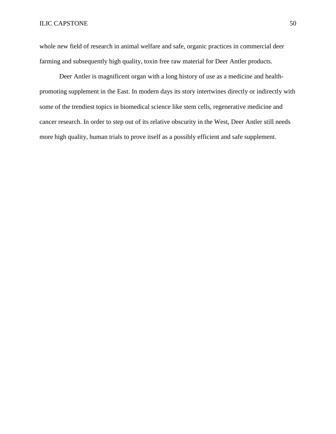whole new field of research in animal welfare and safe, organic practices in commercial deer farming and subsequently high quality, toxin free raw material for Deer Antler products.

Deer Antler is magnificent organ with a long history of use as a medicine and healthpromoting supplement in the East. In modern days its story intertwines directly or indirectly with some of the trendiest topics in biomedical science like stem cells, regenerative medicine and cancer research. In order to step out of its relative obscurity in the West, Deer Antler still needs more high quality, human trials to prove itself as a possibly efficient and safe supplement.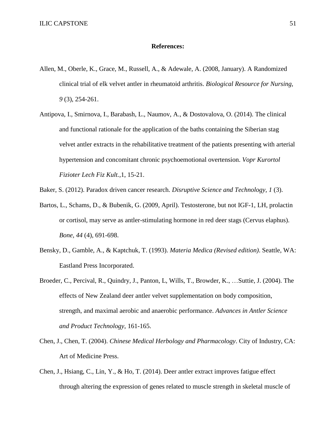#### **References:**

- Allen, M., Oberle, K., Grace, M., Russell, A., & Adewale, A. (2008, January). A Randomized clinical trial of elk velvet antler in rheumatoid arthritis. *Biological Resource for Nursing, 9* (3), 254-261.
- Antipova, I., Smirnova, I., Barabash, L., Naumov, A., & Dostovalova, O. (2014). The clinical and functional rationale for the application of the baths containing the Siberian stag velvet antler extracts in the rehabilitative treatment of the patients presenting with arterial hypertension and concomitant chronic psychoemotional overtension. *Vopr Kurortol Fizioter Lech Fiz Kult.,*1, 15-21.
- Baker, S. (2012). Paradox driven cancer research. *Disruptive Science and Technology, 1* (3).
- Bartos, L., Schams, D., & Bubenik, G. (2009, April). Testosterone, but not IGF-1, LH, prolactin or cortisol, may serve as antler-stimulating hormone in red deer stags (Cervus elaphus). *Bone, 44* (4), 691-698.
- Bensky, D., Gamble, A., & Kaptchuk, T. (1993). *Materia Medica (Revised edition)*. Seattle, WA: Eastland Press Incorporated.
- Broeder, C., Percival, R., Quindry, J., Panton, L, Wills, T., Browder, K., …Suttie, J. (2004). The effects of New Zealand deer antler velvet supplementation on body composition, strength, and maximal aerobic and anaerobic performance. *Advances in Antler Science and Product Technology*, 161-165.
- Chen, J., Chen, T. (2004). *Chinese Medical Herbology and Pharmacology*. City of Industry, CA: Art of Medicine Press.
- Chen, J., Hsiang, C., Lin, Y., & Ho, T. (2014). Deer antler extract improves fatigue effect through altering the expression of genes related to muscle strength in skeletal muscle of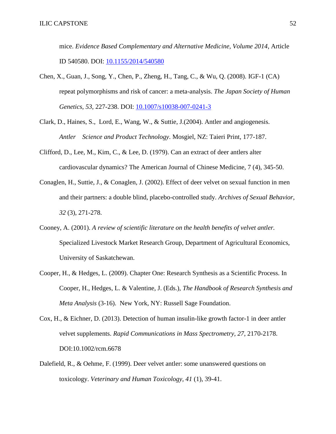mice. *Evidence Based Complementary and Alternative Medicine, Volume 2014*, Article ID 540580. DOI: [10.1155/2014/540580](http://dx.doi.org/10.1155/2014/540580)

- Chen, X., Guan, J., Song, Y., Chen, P., Zheng, H., Tang, C., & Wu, Q. (2008). IGF-1 (CA) repeat polymorphisms and risk of cancer: a meta-analysis. *The Japan Society of Human Genetics*, *53*, 227-238. DOI: [10.1007/s10038-007-0241-3](http://dx.doi.org/10.1007,s10038-007-0241-3)
- Clark, D., Haines, S., Lord, E., Wang, W., & Suttie, J.(2004). Antler and angiogenesis. *Antler Science and Product Technology*. Mosgiel, NZ: Taieri Print, 177-187.
- Clifford, D., Lee, M., Kim, C., & Lee, D. (1979). Can an extract of deer antlers alter cardiovascular dynamics? The American Journal of Chinese Medicine, 7 (4), 345-50.
- Conaglen, H., Suttie, J., & Conaglen, J. (2002). Effect of deer velvet on sexual function in men and their partners: a double blind, placebo-controlled study. *Archives of Sexual Behavior, 32* (3), 271-278.
- Cooney, A. (2001). *A review of scientific literature on the health benefits of velvet antler.* Specialized Livestock Market Research Group, Department of Agricultural Economics, University of Saskatchewan.
- Cooper, H., & Hedges, L. (2009). Chapter One: Research Synthesis as a Scientific Process. In Cooper, H., Hedges, L. & Valentine, J. (Eds.), *The Handbook of Research Synthesis and Meta Analysis* (3-16). New York, NY: Russell Sage Foundation.
- Cox, H., & Eichner, D. (2013). Detection of human insulin-like growth factor-1 in deer antler velvet supplements. *Rapid Communications in Mass Spectrometry, 27*, 2170-2178. DOI:10.1002/rcm.6678
- Dalefield, R., & Oehme, F. (1999). Deer velvet antler: some unanswered questions on toxicology. *Veterinary and Human Toxicology, 41* (1), 39-41.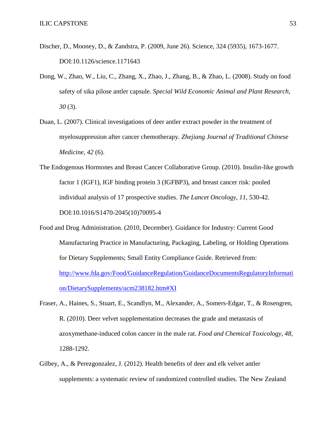- Discher, D., Mooney, D., & Zandstra, P. (2009, June 26). Science, 324 (5935), 1673-1677. DOI:10.1126/science.1171643
- Dong, W., Zhao, W., Liu, C., Zhang, X., Zhao, J., Zhang, B., & Zhao, L. (2008). Study on food safety of sika pilose antler capsule. *Special Wild Economic Animal and Plant Research*, *30* (3).
- Duan, L. (2007). Clinical investigations of deer antler extract powder in the treatment of myelosuppression after cancer chemotherapy. *Zhejiang Journal of Traditional Chinese Medicine, 42* (6).
- The Endogenous Hormones and Breast Cancer Collaborative Group. (2010). Insulin-like growth factor 1 (IGF1), IGF binding protein 3 (IGFBP3), and breast cancer risk: pooled individual analysis of 17 prospective studies. *The Lancet Oncology, 11*, 530-42. DOI:10.1016/S1470-2045(10)70095-4
- Food and Drug Administration. (2010, December). Guidance for Industry: Current Good Manufacturing Practice in Manufacturing, Packaging, Labeling, or Holding Operations for Dietary Supplements; Small Entity Compliance Guide. Retrieved from: [http://www.fda.gov/Food/GuidanceRegulation/GuidanceDocumentsRegulatoryInformati](http://www.fda.gov/Food/GuidanceRegulation/GuidanceDocumentsRegulatoryInformation/DietarySupplements/ucm238182.htm#XI) [on/DietarySupplements/ucm238182.htm#XI](http://www.fda.gov/Food/GuidanceRegulation/GuidanceDocumentsRegulatoryInformation/DietarySupplements/ucm238182.htm#XI)
- Fraser, A., Haines, S., Stuart, E., Scandlyn, M., Alexander, A., Somers-Edgar, T., & Rosengren, R. (2010). Deer velvet supplementation decreases the grade and metastasis of azoxymethane-induced colon cancer in the male rat. *Food and Chemical Toxicology, 48,* 1288-1292.
- Gilbey, A., & Perezgonzalez, J. (2012). Health benefits of deer and elk velvet antler supplements: a systematic review of randomized controlled studies. The New Zealand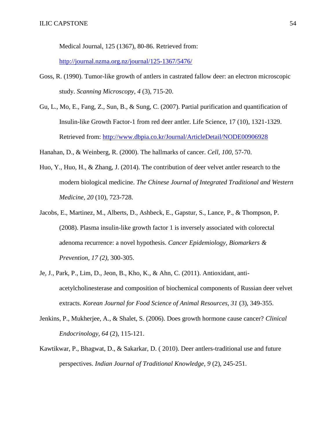Medical Journal, 125 (1367), 80-86. Retrieved from:

<http://journal.nzma.org.nz/journal/125-1367/5476/>

- Goss, R. (1990). Tumor-like growth of antlers in castrated fallow deer: an electron microscopic study. *Scanning Microscopy, 4* (3), 715-20.
- Gu, L., Mo, E., Fang, Z., Sun, B., & Sung, C. (2007). Partial purification and quantification of Insulin-like Growth Factor-1 from red deer antler. Life Science, 17 (10), 1321-1329. Retrieved from:<http://www.dbpia.co.kr/Journal/ArticleDetail/NODE00906928>

Hanahan, D., & Weinberg, R. (2000). The hallmarks of cancer. *Cell, 100*, 57-70.

- Huo, Y., Huo, H., & Zhang, J. (2014). The contribution of deer velvet antler research to the modern biological medicine. *The Chinese Journal of Integrated Traditional and Western Medicine, 20* (10), 723-728.
- Jacobs, E., Martinez, M., Alberts, D., Ashbeck, E., Gapstur, S., Lance, P., & Thompson, P. (2008). Plasma insulin-like growth factor 1 is inversely associated with colorectal adenoma recurrence: a novel hypothesis. *Cancer Epidemiology, Biomarkers & Prevention, 17 (2),* 300-305.
- Je, J., Park, P., Lim, D., Jeon, B., Kho, K., & Ahn, C. (2011). Antioxidant, antiacetylcholinesterase and composition of biochemical components of Russian deer velvet extracts. *Korean Journal for Food Science of Animal Resources, 31* (3), 349-355.
- Jenkins, P., Mukherjee, A., & Shalet, S. (2006). Does growth hormone cause cancer? *Clinical Endocrinology, 64* (2), 115-121.
- Kawtikwar, P., Bhagwat, D., & Sakarkar, D. ( 2010). Deer antlers-traditional use and future perspectives. *Indian Journal of Traditional Knowledge, 9* (2), 245-251.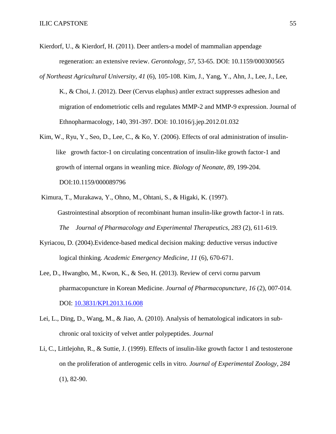- Kierdorf, U., & Kierdorf, H. (2011). Deer antlers-a model of mammalian appendage regeneration: an extensive review. *Gerontology, 57,* 53-65. DOI: 10.1159/000300565
- *of Northeast Agricultural University, 41* (6), 105-108. Kim, J., Yang, Y., Ahn, J., Lee, J., Lee, K., & Choi, J. (2012). Deer (Cervus elaphus) antler extract suppresses adhesion and migration of endometriotic cells and regulates MMP-2 and MMP-9 expression. Journal of Ethnopharmacology, 140, 391-397. DOI: 10.1016/j.jep.2012.01.032
- Kim, W., Ryu, Y., Seo, D., Lee, C., & Ko, Y. (2006). Effects of oral administration of insulin like growth factor-1 on circulating concentration of insulin-like growth factor-1 and growth of internal organs in weanling mice. *Biology of Neonate, 89*, 199-204. DOI:10.1159/000089796
- Kimura, T., Murakawa, Y., Ohno, M., Ohtani, S., & Higaki, K. (1997). Gastrointestinal absorption of recombinant human insulin-like growth factor-1 in rats. *The Journal of Pharmacology and Experimental Therapeutics, 283* (2), 611-619.
- Kyriacou, D. (2004).Evidence-based medical decision making: deductive versus inductive logical thinking. *Academic Emergency Medicine, 11* (6), 670-671.
- Lee, D., Hwangbo, M., Kwon, K., & Seo, H. (2013). Review of cervi cornu parvum pharmacopuncture in Korean Medicine. *Journal of Pharmacopuncture, 16* (2), 007-014. DOI: [10.3831/KPI.2013.16.008](http://dx.doi.org/?10.3831/KPI.2013.16.008)
- Lei, L., Ding, D., Wang, M., & Jiao, A. (2010). Analysis of hematological indicators in subchronic oral toxicity of velvet antler polypeptides. *Journal*
- Li, C., Littlejohn, R., & Suttie, J. (1999). Effects of insulin-like growth factor 1 and testosterone on the proliferation of antlerogenic cells in vitro. *Journal of Experimental Zoology, 284* (1), 82-90.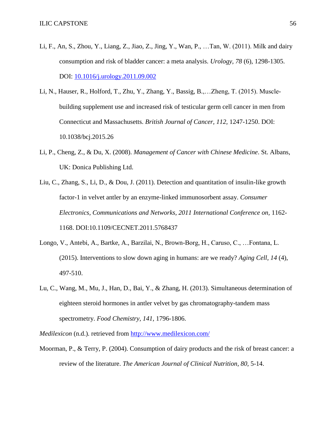- Li, F., An, S., Zhou, Y., Liang, Z., Jiao, Z., Jing, Y., Wan, P., …Tan, W. (2011). Milk and dairy consumption and risk of bladder cancer: a meta analysis. *Urology, 78* (6), 1298-1305. DOI: [10.1016/j.urology.2011.09.002](http://dx.doi.org/10.1016/j.urology.2011.09.002)
- Li, N., Hauser, R., Holford, T., Zhu, Y., Zhang, Y., Bassig, B.,…Zheng, T. (2015). Musclebuilding supplement use and increased risk of testicular germ cell cancer in men from Connecticut and Massachusetts. *British Journal of Cancer, 112,* 1247-1250. DOI: 10.1038/bcj.2015.26
- Li, P., Cheng, Z., & Du, X. (2008). *Management of Cancer with Chinese Medicine*. St. Albans, UK: Donica Publishing Ltd.
- Liu, C., Zhang, S., Li, D., & Dou, J. (2011). Detection and quantitation of insulin-like growth factor-1 in velvet antler by an enzyme-linked immunosorbent assay. *Consumer Electronics, Communications and Networks, 2011 International Conference on,* 1162- 1168. DOI:10.1109/CECNET.2011.5768437
- Longo, V., Antebi, A., Bartke, A., Barzilai, N., Brown-Borg, H., Caruso, C., …Fontana, L. (2015). Interventions to slow down aging in humans: are we ready? *Aging Cell, 14* (4), 497-510.
- Lu, C., Wang, M., Mu, J., Han, D., Bai, Y., & Zhang, H. (2013). Simultaneous determination of eighteen steroid hormones in antler velvet by gas chromatography-tandem mass spectrometry. *Food Chemistry, 141,* 1796-1806.

*Medilexicon* (n.d.). retrieved from<http://www.medilexicon.com/>

Moorman, P., & Terry, P. (2004). Consumption of dairy products and the risk of breast cancer: a review of the literature. *The American Journal of Clinical Nutrition, 80,* 5-14.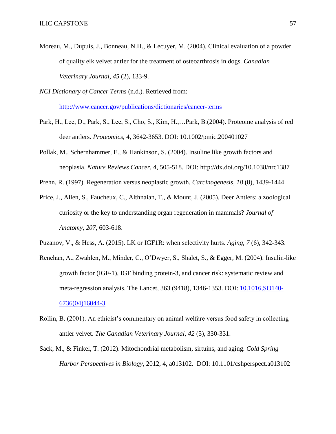Moreau, M., Dupuis, J., Bonneau, N.H., & Lecuyer, M. (2004). Clinical evaluation of a powder of quality elk velvet antler for the treatment of osteoarthrosis in dogs. *Canadian Veterinary Journal, 45* (2), 133-9.

*NCI Dictionary of Cancer Terms* (n.d.). Retrieved from:

<http://www.cancer.gov/publications/dictionaries/cancer-terms>

- Park, H., Lee, D., Park, S., Lee, S., Cho, S., Kim, H.,…Park, B.(2004). Proteome analysis of red deer antlers. *Proteomics,* 4, 3642-3653. DOI: 10.1002/pmic.200401027
- Pollak, M., Schernhammer, E., & Hankinson, S. (2004). Insuline like growth factors and neoplasia. *Nature Reviews Cancer, 4*, 505-518. DOI: http://dx.doi.org/10.1038/nrc1387
- Prehn, R. (1997). Regeneration versus neoplastic growth. *Carcinogenesis, 18* (8), 1439-1444.
- Price, J., Allen, S., Faucheux, C., Althnaian, T., & Mount, J. (2005). Deer Antlers: a zoological curiosity or the key to understanding organ regeneration in mammals? *Journal of Anatomy, 207*, 603-618.
- Puzanov, V., & Hess, A. (2015). LK or IGF1R: when selectivity hurts. *Aging, 7* (6), 342-343.
- Renehan, A., Zwahlen, M., Minder, C., O'Dwyer, S., Shalet, S., & Egger, M. (2004). Insulin-like growth factor (IGF-1), IGF binding protein-3, and cancer risk: systematic review and meta-regression analysis. The Lancet, 363 (9418), 1346-1353. DOI: [10.1016,SO140-](http://dx.doi.org/10.1016,SO140-6736(04)16044-3) [6736\(04\)16044-3](http://dx.doi.org/10.1016,SO140-6736(04)16044-3)
- Rollin, B. (2001). An ethicist's commentary on animal welfare versus food safety in collecting antler velvet. *The Canadian Veterinary Journal, 42* (5), 330-331.
- Sack, M., & Finkel, T. (2012). Mitochondrial metabolism, sirtuins, and aging. *Cold Spring Harbor Perspectives in Biology,* 2012, 4, a013102. DOI: 10.1101/cshperspect.a013102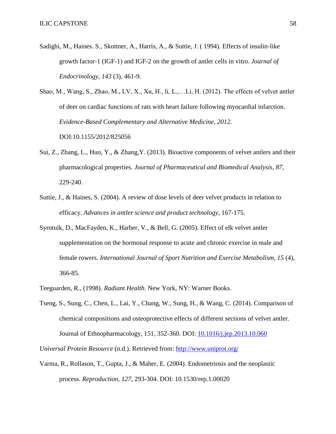Sadighi, M., Haines. S., Skottner, A., Harris, A., & Suttie, J. ( 1994). Effects of insulin-like growth factor-1 (IGF-1) and IGF-2 on the growth of antler cells in vitro. *Journal of Endocrinology, 143* (3), 461-9.

Shao, M., Wang, S., Zhao, M., LV, X., Xu, H., li, L.,…Li, H. (2012). The effects of velvet antler of deer on cardiac functions of rats with heart failure following myocardial infarction. *Evidence-Based Complementary and Alternative Medicine, 2012.*  DOI:10.1155/2012/825056

- Sui, Z., Zhang, L., Huo, Y., & Zhang,Y. (2013). Bioactive components of velvet antlers and their pharmacological properties. *Journal of Pharmaceutical and Biomedical Analysis, 87,* 229-240.
- Suttie, J., & Haines, S. (2004). A review of dose levels of deer velvet products in relation to efficacy. *Advances in antler science and product technology*, 167-175.
- Syrotuik, D., MacFayden, K., Harber, V., & Bell, G. (2005). Effect of elk velvet antler supplementation on the hormonal response to acute and chronic exercise in male and female rowers. *International Journal of Sport Nutrition and Exercise Metabolism, 15* (4), 366-85.
- Teeguarden, R., (1998). *Radiant Health.* New York, NY: Warner Books.
- Tseng, S., Sung, C., Chen, L., Lai, Y., Chang, W., Sung, H., & Wang, C. (2014). Comparison of chemical compositions and osteoprotective effects of different sections of velvet antler. Journal of Ethnopharmacology, 151, 352-360. DOI: [10.1016/j.jep.2013.10.060](http://dx.doi.org/10.1016/j.jep.2013.10.060)

*Universal Protein Resource* (n.d.). Retrieved from:<http://www.uniprot.org/>

Varma, R., Rollason, T., Gupta, J., & Maher, E. (2004). Endometriosis and the neoplastic process. *Reproduction, 127*, 293-304. DOI: 10.1530/rep.1.00020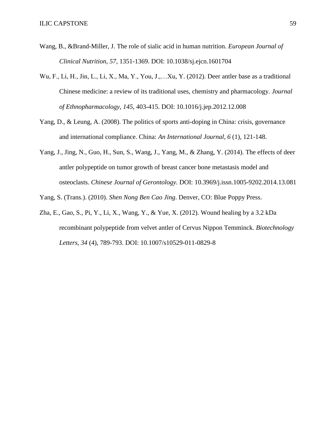- Wang, B., &Brand-Miller, J. The role of sialic acid in human nutrition. *European Journal of Clinical Nutrition, 57*, 1351-1369. DOI: 10.1038/sj.ejcn.1601704
- Wu, F., Li, H., Jin, L., Li, X., Ma, Y., You, J.,…Xu, Y. (2012). Deer antler base as a traditional Chinese medicine: a review of its traditional uses, chemistry and pharmacology. *Journal of Ethnopharmacology, 145*, 403-415. DOI: 10.1016/j.jep.2012.12.008
- Yang, D., & Leung, A. (2008). The politics of sports anti-doping in China: crisis, governance and international compliance. China: *An International Journal, 6* (1), 121-148.
- Yang, J., Jing, N., Guo, H., Sun, S., Wang, J., Yang, M., & Zhang, Y. (2014). The effects of deer antler polypeptide on tumor growth of breast cancer bone metastasis model and osteoclasts. *Chinese Journal of Gerontology.* DOI: 10.3969/j.issn.1005-9202.2014.13.081
- Yang, S. (Trans.). (2010). *Shen Nong Ben Cao Jing*. Denver, CO: Blue Poppy Press.
- Zha, E., Gao, S., Pi, Y., Li, X., Wang, Y., & Yue, X. (2012). Wound healing by a 3.2 kDa recombinant polypeptide from velvet antler of Cervus Nippon Temminck. *Biotechnology Letters, 34* (4), 789-793. DOI: 10.1007/s10529-011-0829-8